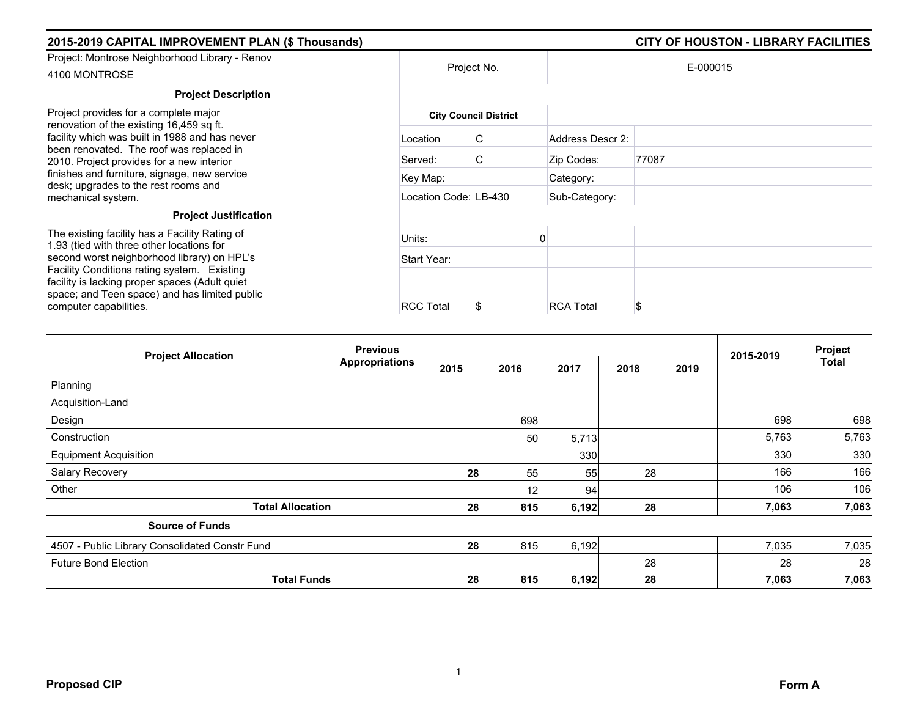| 2015-2019 CAPITAL IMPROVEMENT PLAN (\$ Thousands)                                                                                                                                                                               |                  | <b>CITY OF HOUSTON - LIBRARY FACILITIES</b> |                  |          |  |
|---------------------------------------------------------------------------------------------------------------------------------------------------------------------------------------------------------------------------------|------------------|---------------------------------------------|------------------|----------|--|
| Project: Montrose Neighborhood Library - Renov<br>4100 MONTROSE                                                                                                                                                                 |                  | Project No.                                 |                  | E-000015 |  |
| <b>Project Description</b>                                                                                                                                                                                                      |                  |                                             |                  |          |  |
| Project provides for a complete major<br>renovation of the existing 16,459 sq ft.                                                                                                                                               |                  | <b>City Council District</b>                |                  |          |  |
| facility which was built in 1988 and has never<br>been renovated. The roof was replaced in<br>2010. Project provides for a new interior<br>finishes and furniture, signage, new service<br>desk; upgrades to the rest rooms and | Location         | C                                           | Address Descr 2: |          |  |
|                                                                                                                                                                                                                                 | Served:          | C.                                          | Zip Codes:       | 77087    |  |
|                                                                                                                                                                                                                                 | Key Map:         |                                             | Category:        |          |  |
| mechanical system.                                                                                                                                                                                                              |                  | Location Code: LB-430                       |                  |          |  |
| <b>Project Justification</b>                                                                                                                                                                                                    |                  |                                             |                  |          |  |
| The existing facility has a Facility Rating of<br>1.93 (tied with three other locations for                                                                                                                                     | Units:           |                                             |                  |          |  |
| second worst neighborhood library) on HPL's<br>Facility Conditions rating system. Existing<br>facility is lacking proper spaces (Adult quiet<br>space; and Teen space) and has limited public                                   | Start Year:      |                                             |                  |          |  |
|                                                                                                                                                                                                                                 |                  |                                             |                  |          |  |
| computer capabilities.                                                                                                                                                                                                          | <b>RCC Total</b> |                                             | <b>RCA Total</b> | S        |  |

| <b>Project Allocation</b>                      | <b>Previous</b><br><b>Appropriations</b> |      |                 |       |      |      |           | Project      |
|------------------------------------------------|------------------------------------------|------|-----------------|-------|------|------|-----------|--------------|
|                                                |                                          | 2015 | 2016            | 2017  | 2018 | 2019 | 2015-2019 | <b>Total</b> |
| Planning                                       |                                          |      |                 |       |      |      |           |              |
| Acquisition-Land                               |                                          |      |                 |       |      |      |           |              |
| Design                                         |                                          |      | 698             |       |      |      | 698       | 698          |
| Construction                                   |                                          |      | 50              | 5,713 |      |      | 5,763     | 5,763        |
| <b>Equipment Acquisition</b>                   |                                          |      |                 | 330   |      |      | 330       | 330          |
| Salary Recovery                                |                                          | 28   | 55              | 55    | 28   |      | 166       | 166          |
| Other                                          |                                          |      | 12 <sup>1</sup> | 94    |      |      | 106       | 106          |
| <b>Total Allocation</b>                        |                                          | 28   | 815             | 6,192 | 28   |      | 7,063     | 7,063        |
| <b>Source of Funds</b>                         |                                          |      |                 |       |      |      |           |              |
| 4507 - Public Library Consolidated Constr Fund |                                          | 28   | 815             | 6,192 |      |      | 7,035     | 7,035        |
| <b>Future Bond Election</b>                    |                                          |      |                 |       | 28   |      | 28        | 28           |
| <b>Total Funds</b>                             |                                          | 28   | 815             | 6,192 | 28   |      | 7,063     | 7,063        |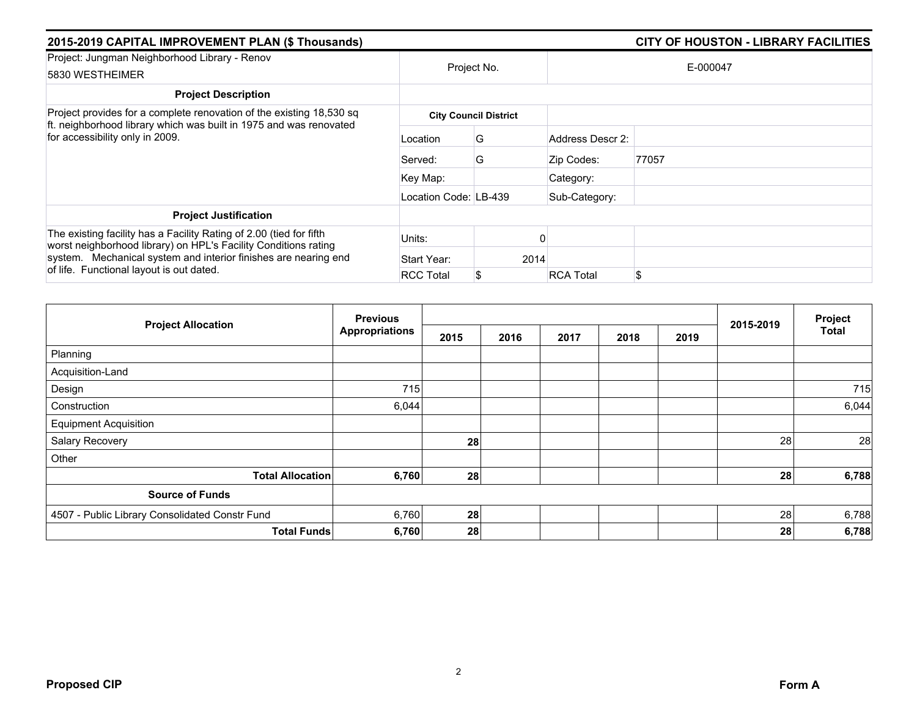| 2015-2019 CAPITAL IMPROVEMENT PLAN (\$ Thousands)                                                                                                                                                                                                     |                       | <b>CITY OF HOUSTON - LIBRARY FACILITIES</b> |                  |          |  |
|-------------------------------------------------------------------------------------------------------------------------------------------------------------------------------------------------------------------------------------------------------|-----------------------|---------------------------------------------|------------------|----------|--|
| Project: Jungman Neighborhood Library - Renov<br>5830 WESTHEIMER                                                                                                                                                                                      |                       | Project No.                                 |                  | E-000047 |  |
| <b>Project Description</b>                                                                                                                                                                                                                            |                       |                                             |                  |          |  |
| Project provides for a complete renovation of the existing 18,530 sq                                                                                                                                                                                  |                       | <b>City Council District</b>                |                  |          |  |
| ft. neighborhood library which was built in 1975 and was renovated<br>for accessibility only in 2009.                                                                                                                                                 | Location              | G                                           | Address Descr 2: |          |  |
|                                                                                                                                                                                                                                                       | Served:               | G                                           | Zip Codes:       | 77057    |  |
|                                                                                                                                                                                                                                                       | Key Map:              |                                             | Category:        |          |  |
|                                                                                                                                                                                                                                                       | Location Code: LB-439 |                                             | Sub-Category:    |          |  |
| <b>Project Justification</b>                                                                                                                                                                                                                          |                       |                                             |                  |          |  |
| The existing facility has a Facility Rating of 2.00 (tied for fifth<br>worst neighborhood library) on HPL's Facility Conditions rating<br>system. Mechanical system and interior finishes are nearing end<br>of life. Functional layout is out dated. | Units:                |                                             |                  |          |  |
|                                                                                                                                                                                                                                                       | Start Year:           |                                             | 2014             |          |  |
|                                                                                                                                                                                                                                                       | <b>RCC Total</b>      | S                                           | <b>RCA Total</b> | \$       |  |

| <b>Project Allocation</b>                      | <b>Previous</b>       |      |      |      | Project |      |           |       |
|------------------------------------------------|-----------------------|------|------|------|---------|------|-----------|-------|
|                                                | <b>Appropriations</b> | 2015 | 2016 | 2017 | 2018    | 2019 | 2015-2019 | Total |
| Planning                                       |                       |      |      |      |         |      |           |       |
| Acquisition-Land                               |                       |      |      |      |         |      |           |       |
| Design                                         | 715                   |      |      |      |         |      |           | 715   |
| Construction                                   | 6,044                 |      |      |      |         |      |           | 6,044 |
| <b>Equipment Acquisition</b>                   |                       |      |      |      |         |      |           |       |
| Salary Recovery                                |                       | 28   |      |      |         |      | 28        | 28    |
| Other                                          |                       |      |      |      |         |      |           |       |
| <b>Total Allocation</b>                        | 6,760                 | 28   |      |      |         |      | 28        | 6,788 |
| <b>Source of Funds</b>                         |                       |      |      |      |         |      |           |       |
| 4507 - Public Library Consolidated Constr Fund | 6,760                 | 28   |      |      |         |      | 28        | 6,788 |
| <b>Total Funds</b>                             | 6,760                 | 28   |      |      |         |      | 28        | 6,788 |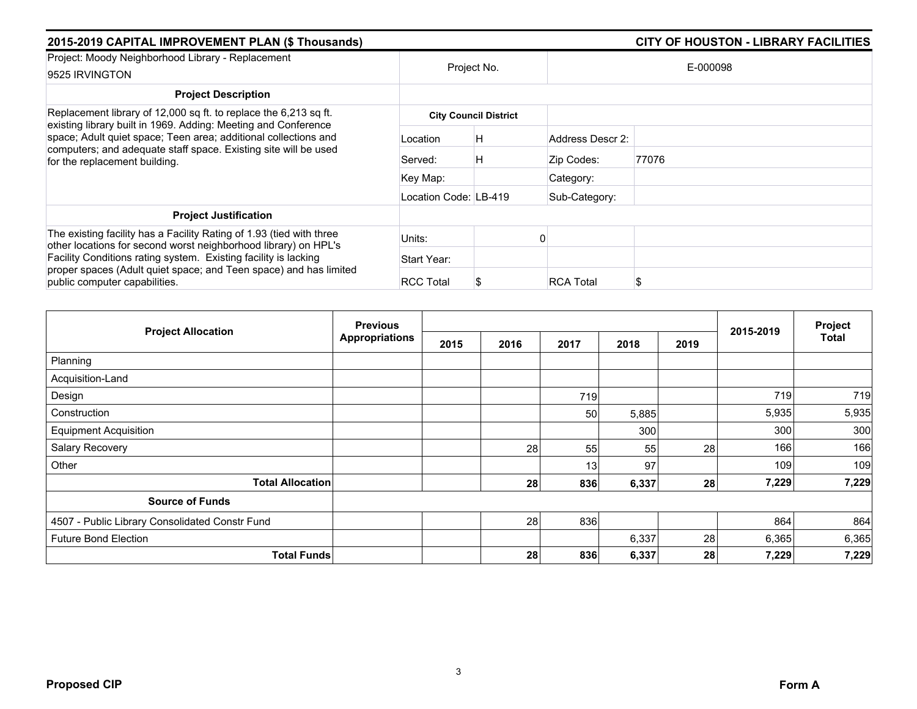| 2015-2019 CAPITAL IMPROVEMENT PLAN (\$ Thousands)                                                                                                                   |                       |                              |                  | <b>CITY OF HOUSTON - LIBRARY FACILITIES</b> |  |  |
|---------------------------------------------------------------------------------------------------------------------------------------------------------------------|-----------------------|------------------------------|------------------|---------------------------------------------|--|--|
| Project: Moody Neighborhood Library - Replacement<br>9525 IRVINGTON                                                                                                 | Project No.           |                              |                  | E-000098                                    |  |  |
| <b>Project Description</b>                                                                                                                                          |                       |                              |                  |                                             |  |  |
| Replacement library of 12,000 sq ft. to replace the 6,213 sq ft.<br>existing library built in 1969. Adding: Meeting and Conference                                  |                       | <b>City Council District</b> |                  |                                             |  |  |
| space; Adult quiet space; Teen area; additional collections and<br>computers; and adequate staff space. Existing site will be used<br>for the replacement building. | Location              | Η                            | Address Descr 2: |                                             |  |  |
|                                                                                                                                                                     | Served:               | Η                            | Zip Codes:       | 77076                                       |  |  |
|                                                                                                                                                                     | Key Map:              |                              | Category:        |                                             |  |  |
|                                                                                                                                                                     | Location Code: LB-419 |                              | Sub-Category:    |                                             |  |  |
| <b>Project Justification</b>                                                                                                                                        |                       |                              |                  |                                             |  |  |
| The existing facility has a Facility Rating of 1.93 (tied with three<br>other locations for second worst neighborhood library) on HPL's                             | Units:                |                              |                  |                                             |  |  |
| Facility Conditions rating system. Existing facility is lacking                                                                                                     | Start Year:           |                              |                  |                                             |  |  |
| proper spaces (Adult quiet space; and Teen space) and has limited<br>public computer capabilities.                                                                  | <b>RCC Total</b>      |                              | <b>RCA Total</b> | S                                           |  |  |

| <b>Project Allocation</b>                      | <b>Previous</b>       |      |      |                 | Project |      |           |       |
|------------------------------------------------|-----------------------|------|------|-----------------|---------|------|-----------|-------|
|                                                | <b>Appropriations</b> | 2015 | 2016 | 2017            | 2018    | 2019 | 2015-2019 | Total |
| Planning                                       |                       |      |      |                 |         |      |           |       |
| Acquisition-Land                               |                       |      |      |                 |         |      |           |       |
| Design                                         |                       |      |      | 719             |         |      | 719       | 719   |
| Construction                                   |                       |      |      | 50 <sub>1</sub> | 5,885   |      | 5,935     | 5,935 |
| <b>Equipment Acquisition</b>                   |                       |      |      |                 | 300     |      | 300       | 300   |
| Salary Recovery                                |                       |      | 28   | 55              | 55      | 28   | 166       | 166   |
| Other                                          |                       |      |      | 13 <sup>1</sup> | 97      |      | 109       | 109   |
| <b>Total Allocation</b>                        |                       |      | 28   | 836             | 6,337   | 28   | 7,229     | 7,229 |
| <b>Source of Funds</b>                         |                       |      |      |                 |         |      |           |       |
| 4507 - Public Library Consolidated Constr Fund |                       |      | 28   | 836             |         |      | 864       | 864   |
| <b>Future Bond Election</b>                    |                       |      |      |                 | 6,337   | 28   | 6,365     | 6,365 |
| <b>Total Funds</b>                             |                       |      | 28   | 836             | 6,337   | 28   | 7,229     | 7,229 |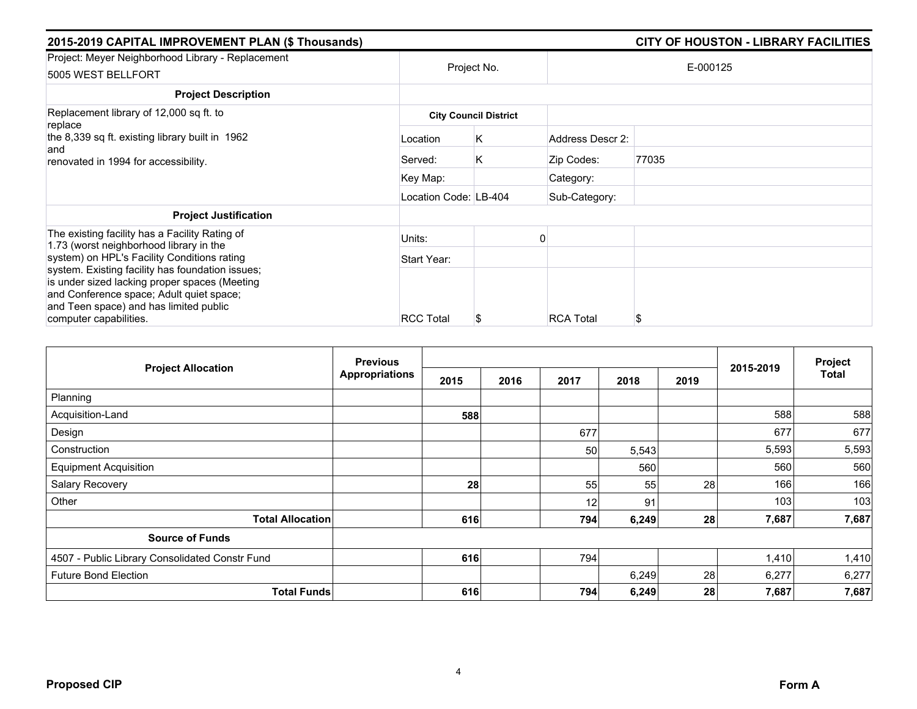| 2015-2019 CAPITAL IMPROVEMENT PLAN (\$ Thousands)                                                                                                                                                                 |                       | <b>CITY OF HOUSTON - LIBRARY FACILITIES</b> |                  |          |  |
|-------------------------------------------------------------------------------------------------------------------------------------------------------------------------------------------------------------------|-----------------------|---------------------------------------------|------------------|----------|--|
| Project: Meyer Neighborhood Library - Replacement<br>5005 WEST BELLFORT                                                                                                                                           |                       | Project No.                                 |                  | E-000125 |  |
| <b>Project Description</b>                                                                                                                                                                                        |                       |                                             |                  |          |  |
| Replacement library of 12,000 sq ft. to<br>replace                                                                                                                                                                |                       | <b>City Council District</b>                |                  |          |  |
| the 8,339 sq ft. existing library built in 1962<br>and<br>renovated in 1994 for accessibility.                                                                                                                    | Location              | Κ                                           | Address Descr 2: |          |  |
|                                                                                                                                                                                                                   | Served:               | Κ                                           | Zip Codes:       | 77035    |  |
|                                                                                                                                                                                                                   | Key Map:              |                                             | Category:        |          |  |
|                                                                                                                                                                                                                   | Location Code: LB-404 |                                             | Sub-Category:    |          |  |
| <b>Project Justification</b>                                                                                                                                                                                      |                       |                                             |                  |          |  |
| The existing facility has a Facility Rating of<br>1.73 (worst neighborhood library in the                                                                                                                         | Units:                |                                             |                  |          |  |
| system) on HPL's Facility Conditions rating                                                                                                                                                                       | Start Year:           |                                             |                  |          |  |
| system. Existing facility has foundation issues;<br>is under sized lacking proper spaces (Meeting<br>and Conference space; Adult quiet space;<br>and Teen space) and has limited public<br>computer capabilities. | <b>RCC Total</b>      | ж                                           | <b>RCA Total</b> | \$       |  |

| <b>Project Allocation</b>                      | <b>Previous</b>       |      |      |      |       | Project |           |              |
|------------------------------------------------|-----------------------|------|------|------|-------|---------|-----------|--------------|
|                                                | <b>Appropriations</b> | 2015 | 2016 | 2017 | 2018  | 2019    | 2015-2019 | <b>Total</b> |
| Planning                                       |                       |      |      |      |       |         |           |              |
| Acquisition-Land                               |                       | 588  |      |      |       |         | 588       | 588          |
| Design                                         |                       |      |      | 677  |       |         | 677       | 677          |
| Construction                                   |                       |      |      | 50   | 5,543 |         | 5,593     | 5,593        |
| <b>Equipment Acquisition</b>                   |                       |      |      |      | 560   |         | 560       | 560          |
| Salary Recovery                                |                       | 28   |      | 55   | 55    | 28      | 166       | 166          |
| Other                                          |                       |      |      | 12   | 91    |         | 103       | 103          |
| <b>Total Allocation</b>                        |                       | 616  |      | 794  | 6,249 | 28      | 7,687     | 7,687        |
| <b>Source of Funds</b>                         |                       |      |      |      |       |         |           |              |
| 4507 - Public Library Consolidated Constr Fund |                       | 616  |      | 794  |       |         | 1,410     | 1,410        |
| <b>Future Bond Election</b>                    |                       |      |      |      | 6,249 | 28      | 6,277     | 6,277        |
| <b>Total Funds</b>                             |                       | 616  |      | 794  | 6,249 | 28      | 7,687     | 7,687        |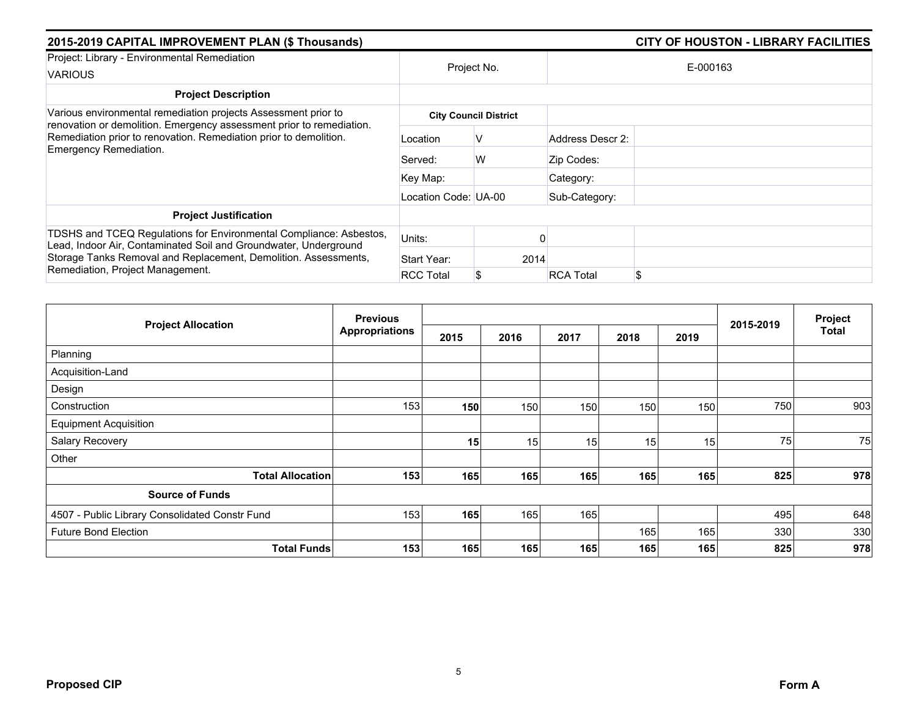| 2015-2019 CAPITAL IMPROVEMENT PLAN (\$ Thousands)                                                                                                                                                                                             |                      |                              | <b>CITY OF HOUSTON - LIBRARY FACILITIES</b> |  |  |  |
|-----------------------------------------------------------------------------------------------------------------------------------------------------------------------------------------------------------------------------------------------|----------------------|------------------------------|---------------------------------------------|--|--|--|
| Project: Library - Environmental Remediation<br><b>VARIOUS</b>                                                                                                                                                                                |                      | Project No.                  | E-000163                                    |  |  |  |
| <b>Project Description</b>                                                                                                                                                                                                                    |                      |                              |                                             |  |  |  |
| Various environmental remediation projects Assessment prior to<br>renovation or demolition. Emergency assessment prior to remediation.                                                                                                        |                      | <b>City Council District</b> |                                             |  |  |  |
| Remediation prior to renovation. Remediation prior to demolition.<br>Emergency Remediation.                                                                                                                                                   | Location             | v                            | Address Descr 2:                            |  |  |  |
|                                                                                                                                                                                                                                               | Served:              | W                            | Zip Codes:                                  |  |  |  |
|                                                                                                                                                                                                                                               | Key Map:             |                              | Category:                                   |  |  |  |
|                                                                                                                                                                                                                                               | Location Code: UA-00 |                              | Sub-Category:                               |  |  |  |
| <b>Project Justification</b>                                                                                                                                                                                                                  |                      |                              |                                             |  |  |  |
| TDSHS and TCEQ Regulations for Environmental Compliance: Asbestos,<br>Lead, Indoor Air, Contaminated Soil and Groundwater, Underground<br>Storage Tanks Removal and Replacement, Demolition. Assessments,<br>Remediation, Project Management. | Units:               |                              |                                             |  |  |  |
|                                                                                                                                                                                                                                               | Start Year:          | 2014                         |                                             |  |  |  |
|                                                                                                                                                                                                                                               | <b>RCC Total</b>     |                              | \$<br><b>RCA Total</b>                      |  |  |  |

| <b>Project Allocation</b>                      | <b>Previous</b> |                 |      |      |      |      |           | Project |
|------------------------------------------------|-----------------|-----------------|------|------|------|------|-----------|---------|
|                                                | Appropriations  | 2015            | 2016 | 2017 | 2018 | 2019 | 2015-2019 | Total   |
| Planning                                       |                 |                 |      |      |      |      |           |         |
| Acquisition-Land                               |                 |                 |      |      |      |      |           |         |
| Design                                         |                 |                 |      |      |      |      |           |         |
| Construction                                   | 153             | 150             | 150  | 150  | 150  | 150  | 750       | 903     |
| <b>Equipment Acquisition</b>                   |                 |                 |      |      |      |      |           |         |
| Salary Recovery                                |                 | 15 <sub>1</sub> | 15   | 15   | 15   | 15   | 75        | 75      |
| Other                                          |                 |                 |      |      |      |      |           |         |
| <b>Total Allocation</b>                        | 153             | 165             | 165  | 165  | 165  | 165  | 825       | 978     |
| <b>Source of Funds</b>                         |                 |                 |      |      |      |      |           |         |
| 4507 - Public Library Consolidated Constr Fund | 153             | 165             | 165  | 165  |      |      | 495       | 648     |
| <b>Future Bond Election</b>                    |                 |                 |      |      | 165  | 165  | 330       | 330     |
| <b>Total Funds</b>                             | 153             | 165             | 165  | 165  | 165  | 165  | 825       | 978     |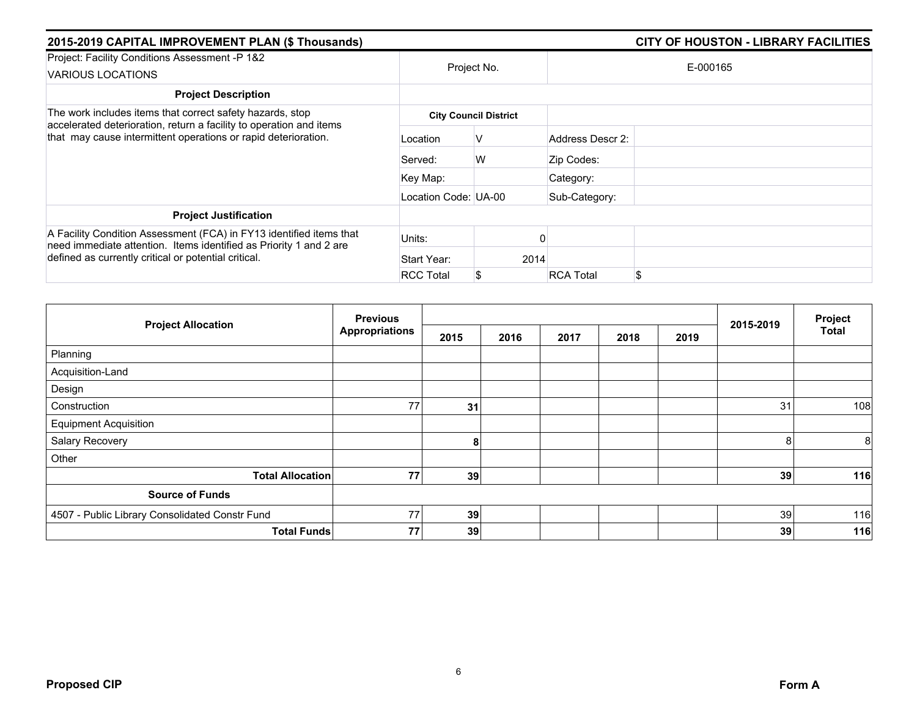| 2015-2019 CAPITAL IMPROVEMENT PLAN (\$ Thousands)                                                                                         |                      |                              |                        |  |  |
|-------------------------------------------------------------------------------------------------------------------------------------------|----------------------|------------------------------|------------------------|--|--|
| Project: Facility Conditions Assessment -P 1&2<br>VARIOUS LOCATIONS                                                                       |                      | Project No.                  | E-000165               |  |  |
| <b>Project Description</b>                                                                                                                |                      |                              |                        |  |  |
| The work includes items that correct safety hazards, stop                                                                                 |                      | <b>City Council District</b> |                        |  |  |
| accelerated deterioration, return a facility to operation and items<br>that may cause intermittent operations or rapid deterioration.     | Location             | v                            | Address Descr 2:       |  |  |
|                                                                                                                                           | Served:              | W                            | Zip Codes:             |  |  |
|                                                                                                                                           | Key Map:             |                              | Category:              |  |  |
|                                                                                                                                           | Location Code: UA-00 |                              | Sub-Category:          |  |  |
| <b>Project Justification</b>                                                                                                              |                      |                              |                        |  |  |
| A Facility Condition Assessment (FCA) in FY13 identified items that<br>need immediate attention. Items identified as Priority 1 and 2 are | Units:               |                              |                        |  |  |
| defined as currently critical or potential critical.                                                                                      | Start Year:          | 2014                         |                        |  |  |
|                                                                                                                                           | <b>RCC Total</b>     |                              | \$<br><b>RCA Total</b> |  |  |

| <b>Project Allocation</b>                      | <b>Previous</b>       |      |      |      | Project |      |           |              |
|------------------------------------------------|-----------------------|------|------|------|---------|------|-----------|--------------|
|                                                | <b>Appropriations</b> | 2015 | 2016 | 2017 | 2018    | 2019 | 2015-2019 | <b>Total</b> |
| Planning                                       |                       |      |      |      |         |      |           |              |
| Acquisition-Land                               |                       |      |      |      |         |      |           |              |
| Design                                         |                       |      |      |      |         |      |           |              |
| Construction                                   | 77                    | 31   |      |      |         |      | 31        | 108          |
| <b>Equipment Acquisition</b>                   |                       |      |      |      |         |      |           |              |
| Salary Recovery                                |                       | 8    |      |      |         |      | 8         | 8            |
| Other                                          |                       |      |      |      |         |      |           |              |
| <b>Total Allocation</b>                        | 77                    | 39   |      |      |         |      | 39        | 116          |
| <b>Source of Funds</b>                         |                       |      |      |      |         |      |           |              |
| 4507 - Public Library Consolidated Constr Fund | 77                    | 39   |      |      |         |      | 39        | 116          |
| <b>Total Funds</b>                             | 77                    | 39   |      |      |         |      | 39        | 116          |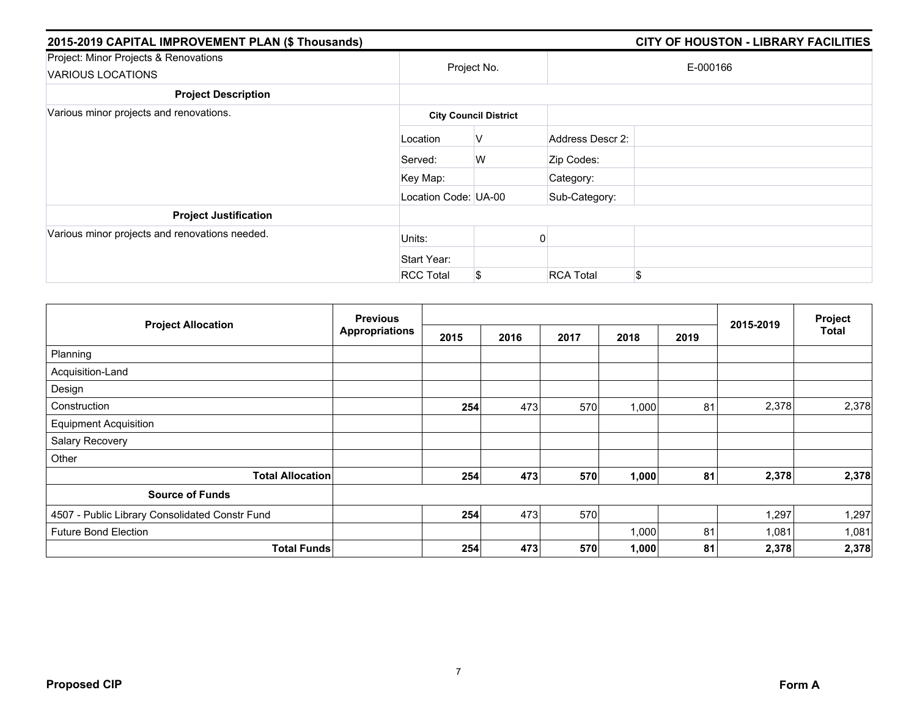| 2015-2019 CAPITAL IMPROVEMENT PLAN (\$ Thousands)          |                      |                              |                  | <b>CITY OF HOUSTON - LIBRARY FACILITIES</b> |
|------------------------------------------------------------|----------------------|------------------------------|------------------|---------------------------------------------|
| Project: Minor Projects & Renovations<br>VARIOUS LOCATIONS |                      | Project No.                  |                  | E-000166                                    |
| <b>Project Description</b>                                 |                      |                              |                  |                                             |
| Various minor projects and renovations.                    |                      | <b>City Council District</b> |                  |                                             |
|                                                            | Location             | V                            | Address Descr 2: |                                             |
|                                                            | Served:              | W                            | Zip Codes:       |                                             |
|                                                            | Key Map:             |                              | Category:        |                                             |
|                                                            | Location Code: UA-00 |                              | Sub-Category:    |                                             |
| <b>Project Justification</b>                               |                      |                              |                  |                                             |
| Various minor projects and renovations needed.             | Units:               |                              |                  |                                             |
|                                                            | Start Year:          |                              |                  |                                             |
|                                                            | <b>RCC Total</b>     | \$                           | <b>RCA Total</b> | \$                                          |

| <b>Project Allocation</b>                      | <b>Previous</b><br><b>Appropriations</b> |      |      |      |       | Project |           |       |
|------------------------------------------------|------------------------------------------|------|------|------|-------|---------|-----------|-------|
|                                                |                                          | 2015 | 2016 | 2017 | 2018  | 2019    | 2015-2019 | Total |
| Planning                                       |                                          |      |      |      |       |         |           |       |
| Acquisition-Land                               |                                          |      |      |      |       |         |           |       |
| Design                                         |                                          |      |      |      |       |         |           |       |
| Construction                                   |                                          | 254  | 473  | 570  | 1,000 | 81      | 2,378     | 2,378 |
| <b>Equipment Acquisition</b>                   |                                          |      |      |      |       |         |           |       |
| Salary Recovery                                |                                          |      |      |      |       |         |           |       |
| Other                                          |                                          |      |      |      |       |         |           |       |
| <b>Total Allocation</b>                        |                                          | 254  | 473  | 570  | 1,000 | 81      | 2,378     | 2,378 |
| <b>Source of Funds</b>                         |                                          |      |      |      |       |         |           |       |
| 4507 - Public Library Consolidated Constr Fund |                                          | 254  | 473  | 570  |       |         | 1,297     | 1,297 |
| <b>Future Bond Election</b>                    |                                          |      |      |      | 1,000 | 81      | 1,081     | 1,081 |
| <b>Total Funds</b>                             |                                          | 254  | 473  | 570  | 1,000 | 81      | 2,378     | 2,378 |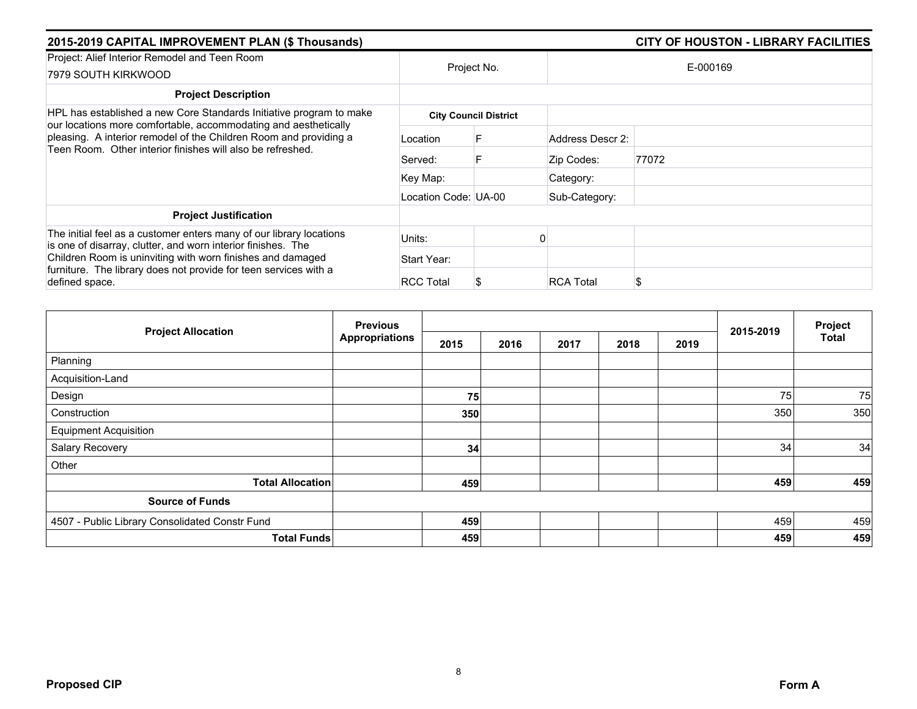| 2015-2019 CAPITAL IMPROVEMENT PLAN (\$ Thousands)                                                                                      |                      |                              |                  | <b>CITY OF HOUSTON - LIBRARY FACILITIES</b> |  |  |  |  |
|----------------------------------------------------------------------------------------------------------------------------------------|----------------------|------------------------------|------------------|---------------------------------------------|--|--|--|--|
| Project: Alief Interior Remodel and Teen Room<br>7979 SOUTH KIRKWOOD                                                                   |                      | Project No.                  |                  | E-000169                                    |  |  |  |  |
| <b>Project Description</b>                                                                                                             |                      |                              |                  |                                             |  |  |  |  |
| HPL has established a new Core Standards Initiative program to make<br>our locations more comfortable, accommodating and aesthetically |                      | <b>City Council District</b> |                  |                                             |  |  |  |  |
| pleasing. A interior remodel of the Children Room and providing a<br>Teen Room. Other interior finishes will also be refreshed.        | Location             |                              | Address Descr 2: |                                             |  |  |  |  |
|                                                                                                                                        | Served:              |                              | Zip Codes:       | 77072                                       |  |  |  |  |
|                                                                                                                                        | Key Map:             |                              | Category:        |                                             |  |  |  |  |
|                                                                                                                                        | Location Code: UA-00 |                              | Sub-Category:    |                                             |  |  |  |  |
| <b>Project Justification</b>                                                                                                           |                      |                              |                  |                                             |  |  |  |  |
| The initial feel as a customer enters many of our library locations<br>is one of disarray, clutter, and worn interior finishes. The    | Units:               |                              |                  |                                             |  |  |  |  |
| Children Room is uninviting with worn finishes and damaged                                                                             | Start Year:          |                              |                  |                                             |  |  |  |  |
| furniture. The library does not provide for teen services with a<br>defined space.                                                     | <b>RCC Total</b>     |                              | <b>RCA Total</b> | \$                                          |  |  |  |  |

| <b>Project Allocation</b>                      | <b>Previous</b>       |      |      |      |      | 2015-2019 | Project |              |
|------------------------------------------------|-----------------------|------|------|------|------|-----------|---------|--------------|
|                                                | <b>Appropriations</b> | 2015 | 2016 | 2017 | 2018 | 2019      |         | <b>Total</b> |
| Planning                                       |                       |      |      |      |      |           |         |              |
| Acquisition-Land                               |                       |      |      |      |      |           |         |              |
| Design                                         |                       | 75   |      |      |      |           | 75      | 75           |
| Construction                                   |                       | 350  |      |      |      |           | 350     | 350          |
| <b>Equipment Acquisition</b>                   |                       |      |      |      |      |           |         |              |
| Salary Recovery                                |                       | 34   |      |      |      |           | 34      | 34           |
| Other                                          |                       |      |      |      |      |           |         |              |
| <b>Total Allocation</b>                        |                       | 459  |      |      |      |           | 459     | 459          |
| <b>Source of Funds</b>                         |                       |      |      |      |      |           |         |              |
| 4507 - Public Library Consolidated Constr Fund |                       | 459  |      |      |      |           | 459     | 459          |
| <b>Total Funds</b>                             |                       | 459  |      |      |      |           | 459     | 459          |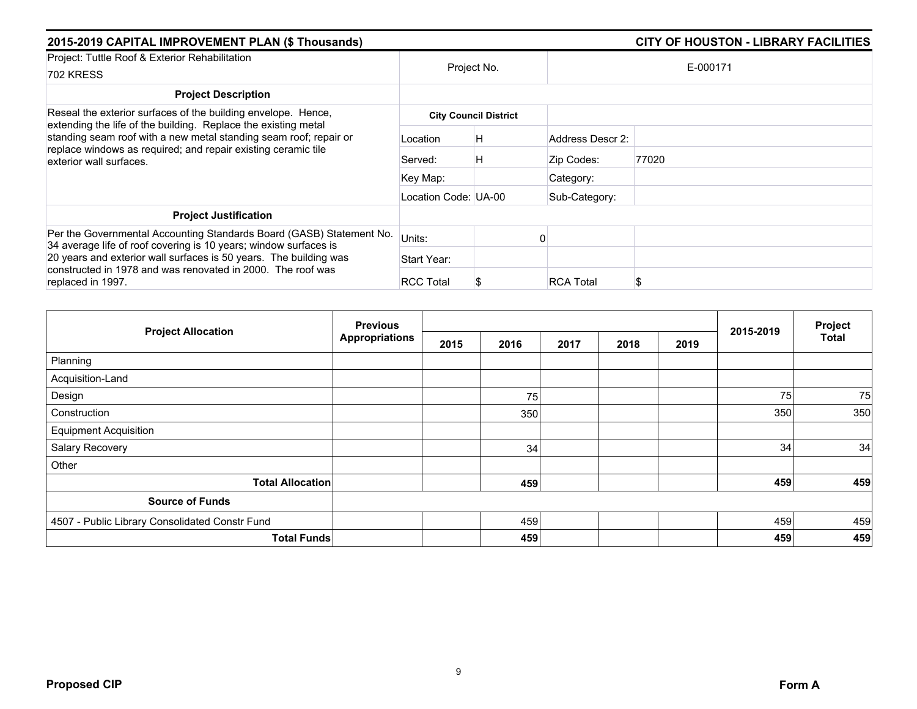| 2015-2019 CAPITAL IMPROVEMENT PLAN (\$ Thousands)                                                                                                                                                                               |                      | <b>CITY OF HOUSTON - LIBRARY FACILITIES</b> |                  |          |
|---------------------------------------------------------------------------------------------------------------------------------------------------------------------------------------------------------------------------------|----------------------|---------------------------------------------|------------------|----------|
| Project: Tuttle Roof & Exterior Rehabilitation<br><b>702 KRESS</b>                                                                                                                                                              | Project No.          |                                             |                  | E-000171 |
| <b>Project Description</b>                                                                                                                                                                                                      |                      |                                             |                  |          |
| Reseal the exterior surfaces of the building envelope. Hence,                                                                                                                                                                   |                      | <b>City Council District</b>                |                  |          |
| extending the life of the building. Replace the existing metal<br>standing seam roof with a new metal standing seam roof; repair or<br>replace windows as required; and repair existing ceramic tile<br>exterior wall surfaces. | Location             | Η                                           | Address Descr 2: |          |
|                                                                                                                                                                                                                                 | Served:              | Η                                           | Zip Codes:       | 77020    |
|                                                                                                                                                                                                                                 | Key Map:             |                                             | Category:        |          |
|                                                                                                                                                                                                                                 | Location Code: UA-00 |                                             | Sub-Category:    |          |
| <b>Project Justification</b>                                                                                                                                                                                                    |                      |                                             |                  |          |
| Per the Governmental Accounting Standards Board (GASB) Statement No.<br>34 average life of roof covering is 10 years; window surfaces is                                                                                        | Units:               |                                             |                  |          |
| 20 years and exterior wall surfaces is 50 years. The building was<br>constructed in 1978 and was renovated in 2000. The roof was<br>replaced in 1997.                                                                           | Start Year:          |                                             |                  |          |
|                                                                                                                                                                                                                                 | <b>RCC Total</b>     | S                                           | <b>RCA Total</b> |          |

| <b>Project Allocation</b>                      | <b>Previous</b><br><b>Appropriations</b> |      |      |      | 2015-2019 | Project |     |              |
|------------------------------------------------|------------------------------------------|------|------|------|-----------|---------|-----|--------------|
|                                                |                                          | 2015 | 2016 | 2017 | 2018      | 2019    |     | <b>Total</b> |
| Planning                                       |                                          |      |      |      |           |         |     |              |
| Acquisition-Land                               |                                          |      |      |      |           |         |     |              |
| Design                                         |                                          |      | 75   |      |           |         | 75  | 75           |
| Construction                                   |                                          |      | 350  |      |           |         | 350 | 350          |
| <b>Equipment Acquisition</b>                   |                                          |      |      |      |           |         |     |              |
| Salary Recovery                                |                                          |      | 34   |      |           |         | 34  | 34           |
| Other                                          |                                          |      |      |      |           |         |     |              |
| <b>Total Allocation</b>                        |                                          |      | 459  |      |           |         | 459 | 459          |
| <b>Source of Funds</b>                         |                                          |      |      |      |           |         |     |              |
| 4507 - Public Library Consolidated Constr Fund |                                          |      | 459  |      |           |         | 459 | 459          |
| <b>Total Funds</b>                             |                                          |      | 459  |      |           |         | 459 | 459          |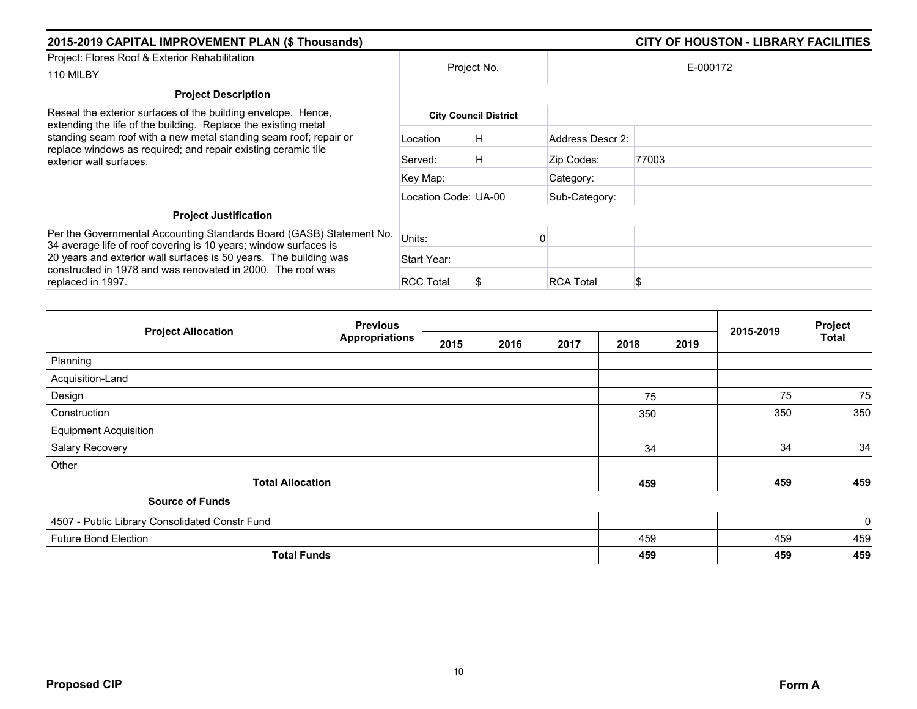| 2015-2019 CAPITAL IMPROVEMENT PLAN (\$ Thousands)                                                                                                                                                                               |                      |                              |                  |          |  |
|---------------------------------------------------------------------------------------------------------------------------------------------------------------------------------------------------------------------------------|----------------------|------------------------------|------------------|----------|--|
| Project: Flores Roof & Exterior Rehabilitation<br>110 MILBY                                                                                                                                                                     | Project No.          |                              |                  | E-000172 |  |
| <b>Project Description</b>                                                                                                                                                                                                      |                      |                              |                  |          |  |
| Reseal the exterior surfaces of the building envelope. Hence,                                                                                                                                                                   |                      | <b>City Council District</b> |                  |          |  |
| extending the life of the building. Replace the existing metal<br>standing seam roof with a new metal standing seam roof; repair or<br>replace windows as required; and repair existing ceramic tile<br>exterior wall surfaces. | Location             | H                            | Address Descr 2: |          |  |
|                                                                                                                                                                                                                                 | Served:              | Н                            | Zip Codes:       | 77003    |  |
|                                                                                                                                                                                                                                 | Key Map:             |                              | Category:        |          |  |
|                                                                                                                                                                                                                                 | Location Code: UA-00 |                              | Sub-Category:    |          |  |
| <b>Project Justification</b>                                                                                                                                                                                                    |                      |                              |                  |          |  |
| Per the Governmental Accounting Standards Board (GASB) Statement No.<br>34 average life of roof covering is 10 years; window surfaces is                                                                                        | Units:               |                              |                  |          |  |
| 20 years and exterior wall surfaces is 50 years. The building was                                                                                                                                                               | Start Year:          |                              |                  |          |  |
| constructed in 1978 and was renovated in 2000. The roof was<br>replaced in 1997.                                                                                                                                                | <b>RCC Total</b>     |                              | <b>RCA Total</b> |          |  |

|                                                | <b>Previous</b>       |      |      |      | 2015-2019 | Project |     |       |
|------------------------------------------------|-----------------------|------|------|------|-----------|---------|-----|-------|
| <b>Project Allocation</b>                      | <b>Appropriations</b> | 2015 | 2016 | 2017 | 2018      | 2019    |     | Total |
| Planning                                       |                       |      |      |      |           |         |     |       |
| Acquisition-Land                               |                       |      |      |      |           |         |     |       |
| Design                                         |                       |      |      |      | 75        |         | 75  | 75    |
| Construction                                   |                       |      |      |      | 350       |         | 350 | 350   |
| <b>Equipment Acquisition</b>                   |                       |      |      |      |           |         |     |       |
| Salary Recovery                                |                       |      |      |      | 34        |         | 34  | 34    |
| Other                                          |                       |      |      |      |           |         |     |       |
| <b>Total Allocation</b>                        |                       |      |      |      | 459       |         | 459 | 459   |
| <b>Source of Funds</b>                         |                       |      |      |      |           |         |     |       |
| 4507 - Public Library Consolidated Constr Fund |                       |      |      |      |           |         |     | 0     |
| <b>Future Bond Election</b>                    |                       |      |      |      | 459       |         | 459 | 459   |
| <b>Total Funds</b>                             |                       |      |      |      | 459       |         | 459 | 459   |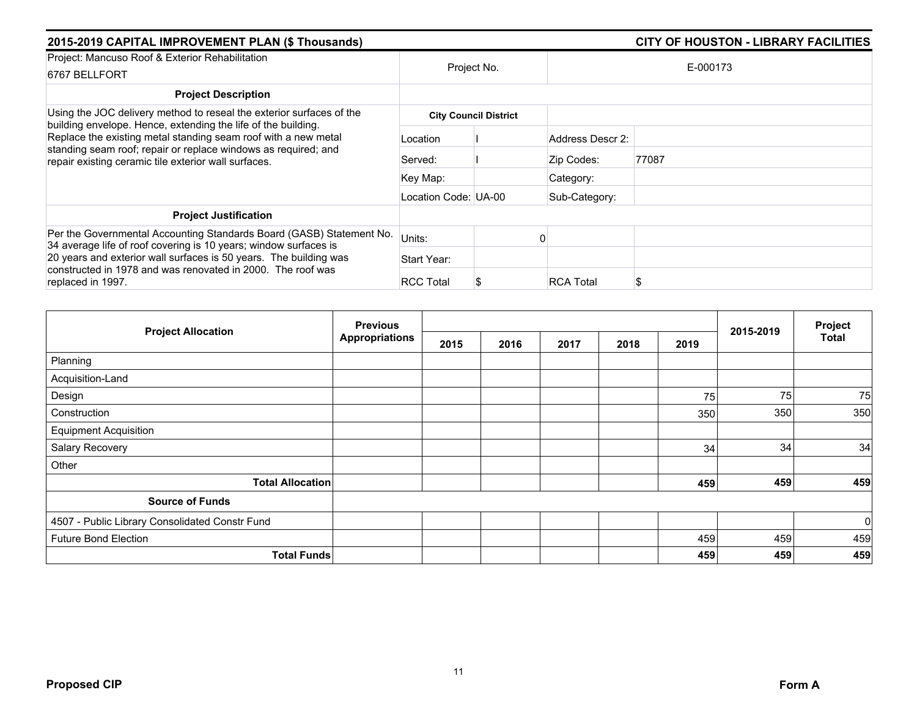| 2015-2019 CAPITAL IMPROVEMENT PLAN (\$ Thousands)                                                                                                                                                                                                                                                                                 |                      |                              |                  | <b>CITY OF HOUSTON - LIBRARY FACILITIES</b> |  |
|-----------------------------------------------------------------------------------------------------------------------------------------------------------------------------------------------------------------------------------------------------------------------------------------------------------------------------------|----------------------|------------------------------|------------------|---------------------------------------------|--|
| Project: Mancuso Roof & Exterior Rehabilitation<br>6767 BELLFORT                                                                                                                                                                                                                                                                  |                      | Project No.                  | E-000173         |                                             |  |
| <b>Project Description</b>                                                                                                                                                                                                                                                                                                        |                      |                              |                  |                                             |  |
| Using the JOC delivery method to reseal the exterior surfaces of the<br>building envelope. Hence, extending the life of the building.<br>Replace the existing metal standing seam roof with a new metal<br>standing seam roof; repair or replace windows as required; and<br>repair existing ceramic tile exterior wall surfaces. |                      | <b>City Council District</b> |                  |                                             |  |
|                                                                                                                                                                                                                                                                                                                                   | Location             |                              | Address Descr 2: |                                             |  |
|                                                                                                                                                                                                                                                                                                                                   | Served:              |                              | Zip Codes:       | 77087                                       |  |
|                                                                                                                                                                                                                                                                                                                                   | Key Map:             |                              | Category:        |                                             |  |
|                                                                                                                                                                                                                                                                                                                                   | Location Code: UA-00 |                              | Sub-Category:    |                                             |  |
| <b>Project Justification</b>                                                                                                                                                                                                                                                                                                      |                      |                              |                  |                                             |  |
| Per the Governmental Accounting Standards Board (GASB) Statement No.<br>34 average life of roof covering is 10 years; window surfaces is                                                                                                                                                                                          | Units:               |                              |                  |                                             |  |
| 20 years and exterior wall surfaces is 50 years. The building was                                                                                                                                                                                                                                                                 | Start Year:          |                              |                  |                                             |  |
| constructed in 1978 and was renovated in 2000. The roof was<br>replaced in 1997.                                                                                                                                                                                                                                                  | <b>RCC Total</b>     | S                            | <b>RCA Total</b> |                                             |  |

| <b>Project Allocation</b>                      | <b>Previous</b>       |      |      |      | 2015-2019 | Project |     |              |
|------------------------------------------------|-----------------------|------|------|------|-----------|---------|-----|--------------|
|                                                | <b>Appropriations</b> | 2015 | 2016 | 2017 | 2018      | 2019    |     | <b>Total</b> |
| Planning                                       |                       |      |      |      |           |         |     |              |
| Acquisition-Land                               |                       |      |      |      |           |         |     |              |
| Design                                         |                       |      |      |      |           | 75      | 75  | 75           |
| Construction                                   |                       |      |      |      |           | 350     | 350 | 350          |
| <b>Equipment Acquisition</b>                   |                       |      |      |      |           |         |     |              |
| Salary Recovery                                |                       |      |      |      |           | 34      | 34  | 34           |
| Other                                          |                       |      |      |      |           |         |     |              |
| <b>Total Allocation</b>                        |                       |      |      |      |           | 459     | 459 | 459          |
| <b>Source of Funds</b>                         |                       |      |      |      |           |         |     |              |
| 4507 - Public Library Consolidated Constr Fund |                       |      |      |      |           |         |     | $\mathbf 0$  |
| <b>Future Bond Election</b>                    |                       |      |      |      |           | 459     | 459 | 459          |
| <b>Total Funds</b>                             |                       |      |      |      |           | 459     | 459 | 459          |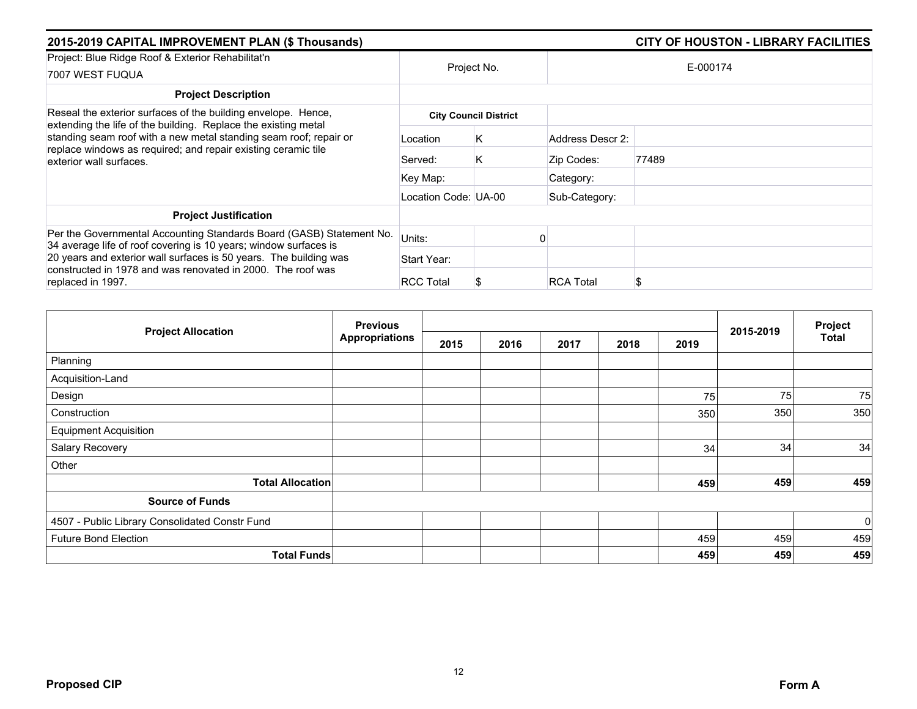| 2015-2019 CAPITAL IMPROVEMENT PLAN (\$ Thousands)                                                                                                                                                                                                                                                |                      |                              |                  | <b>CITY OF HOUSTON - LIBRARY FACILITIES</b> |  |
|--------------------------------------------------------------------------------------------------------------------------------------------------------------------------------------------------------------------------------------------------------------------------------------------------|----------------------|------------------------------|------------------|---------------------------------------------|--|
| Project: Blue Ridge Roof & Exterior Rehabilitat'n<br>7007 WEST FUQUA                                                                                                                                                                                                                             |                      | Project No.                  | E-000174         |                                             |  |
| <b>Project Description</b>                                                                                                                                                                                                                                                                       |                      |                              |                  |                                             |  |
| Reseal the exterior surfaces of the building envelope. Hence,<br>extending the life of the building. Replace the existing metal<br>standing seam roof with a new metal standing seam roof; repair or<br>replace windows as required; and repair existing ceramic tile<br>exterior wall surfaces. |                      | <b>City Council District</b> |                  |                                             |  |
|                                                                                                                                                                                                                                                                                                  | Location             | K.                           | Address Descr 2: |                                             |  |
|                                                                                                                                                                                                                                                                                                  | Served:              | K                            | Zip Codes:       | 77489                                       |  |
|                                                                                                                                                                                                                                                                                                  | Key Map:             |                              | Category:        |                                             |  |
|                                                                                                                                                                                                                                                                                                  | Location Code: UA-00 |                              | Sub-Category:    |                                             |  |
| <b>Project Justification</b>                                                                                                                                                                                                                                                                     |                      |                              |                  |                                             |  |
| Per the Governmental Accounting Standards Board (GASB) Statement No.<br>34 average life of roof covering is 10 years; window surfaces is                                                                                                                                                         | Units:               |                              |                  |                                             |  |
| 20 years and exterior wall surfaces is 50 years. The building was                                                                                                                                                                                                                                | Start Year:          |                              |                  |                                             |  |
| constructed in 1978 and was renovated in 2000. The roof was<br>replaced in 1997.                                                                                                                                                                                                                 | <b>RCC Total</b>     | S                            | <b>RCA Total</b> |                                             |  |

| <b>Project Allocation</b>                      | <b>Previous</b>       |      |      |      |      |      |           | Project        |
|------------------------------------------------|-----------------------|------|------|------|------|------|-----------|----------------|
|                                                | <b>Appropriations</b> | 2015 | 2016 | 2017 | 2018 | 2019 | 2015-2019 | Total          |
| Planning                                       |                       |      |      |      |      |      |           |                |
| Acquisition-Land                               |                       |      |      |      |      |      |           |                |
| Design                                         |                       |      |      |      |      | 75   | 75        | 75             |
| Construction                                   |                       |      |      |      |      | 350  | 350       | 350            |
| <b>Equipment Acquisition</b>                   |                       |      |      |      |      |      |           |                |
| Salary Recovery                                |                       |      |      |      |      | 34   | 34        | 34             |
| Other                                          |                       |      |      |      |      |      |           |                |
| <b>Total Allocation</b>                        |                       |      |      |      |      | 459  | 459       | 459            |
| <b>Source of Funds</b>                         |                       |      |      |      |      |      |           |                |
| 4507 - Public Library Consolidated Constr Fund |                       |      |      |      |      |      |           | $\overline{0}$ |
| <b>Future Bond Election</b>                    |                       |      |      |      |      | 459  | 459       | 459            |
| <b>Total Funds</b>                             |                       |      |      |      |      | 459  | 459       | 459            |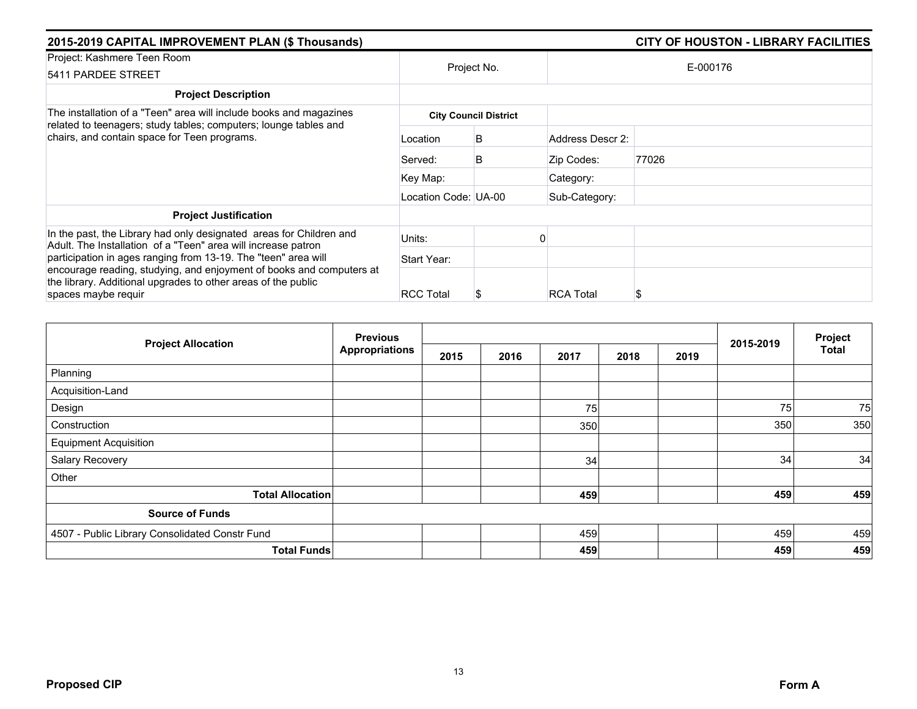| 2015-2019 CAPITAL IMPROVEMENT PLAN (\$ Thousands)                                                                                                                                                                              |                      |                              |                  | <b>CITY OF HOUSTON - LIBRARY FACILITIES</b> |  |
|--------------------------------------------------------------------------------------------------------------------------------------------------------------------------------------------------------------------------------|----------------------|------------------------------|------------------|---------------------------------------------|--|
| Project: Kashmere Teen Room<br>5411 PARDEE STREET                                                                                                                                                                              | Project No.          |                              |                  | E-000176                                    |  |
| <b>Project Description</b>                                                                                                                                                                                                     |                      |                              |                  |                                             |  |
| The installation of a "Teen" area will include books and magazines<br>related to teenagers; study tables; computers; lounge tables and<br>chairs, and contain space for Teen programs.                                         |                      | <b>City Council District</b> |                  |                                             |  |
|                                                                                                                                                                                                                                | Location             | B                            | Address Descr 2: |                                             |  |
|                                                                                                                                                                                                                                | Served:              | B                            | Zip Codes:       | 77026                                       |  |
|                                                                                                                                                                                                                                | Key Map:             |                              | Category:        |                                             |  |
|                                                                                                                                                                                                                                | Location Code: UA-00 |                              | Sub-Category:    |                                             |  |
| <b>Project Justification</b>                                                                                                                                                                                                   |                      |                              |                  |                                             |  |
| In the past, the Library had only designated areas for Children and<br>Adult. The Installation of a "Teen" area will increase patron                                                                                           | Units:               |                              |                  |                                             |  |
| participation in ages ranging from 13-19. The "teen" area will<br>encourage reading, studying, and enjoyment of books and computers at<br>the library. Additional upgrades to other areas of the public<br>spaces maybe requir | Start Year:          |                              |                  |                                             |  |
|                                                                                                                                                                                                                                | <b>RCC Total</b>     | \$                           | <b>RCA Total</b> |                                             |  |

|                                                | <b>Previous</b>       | 2015-2019 | Project |      |      |      |     |       |
|------------------------------------------------|-----------------------|-----------|---------|------|------|------|-----|-------|
| <b>Project Allocation</b>                      | <b>Appropriations</b> | 2015      | 2016    | 2017 | 2018 | 2019 |     | Total |
| Planning                                       |                       |           |         |      |      |      |     |       |
| Acquisition-Land                               |                       |           |         |      |      |      |     |       |
| Design                                         |                       |           |         | 75   |      |      | 75  | 75    |
| Construction                                   |                       |           |         | 350  |      |      | 350 | 350   |
| <b>Equipment Acquisition</b>                   |                       |           |         |      |      |      |     |       |
| Salary Recovery                                |                       |           |         | 34   |      |      | 34  | 34    |
| Other                                          |                       |           |         |      |      |      |     |       |
| <b>Total Allocation</b>                        |                       |           |         | 459  |      |      | 459 | 459   |
| <b>Source of Funds</b>                         |                       |           |         |      |      |      |     |       |
| 4507 - Public Library Consolidated Constr Fund |                       |           |         | 459  |      |      | 459 | 459   |
| <b>Total Funds</b>                             |                       |           |         | 459  |      |      | 459 | 459   |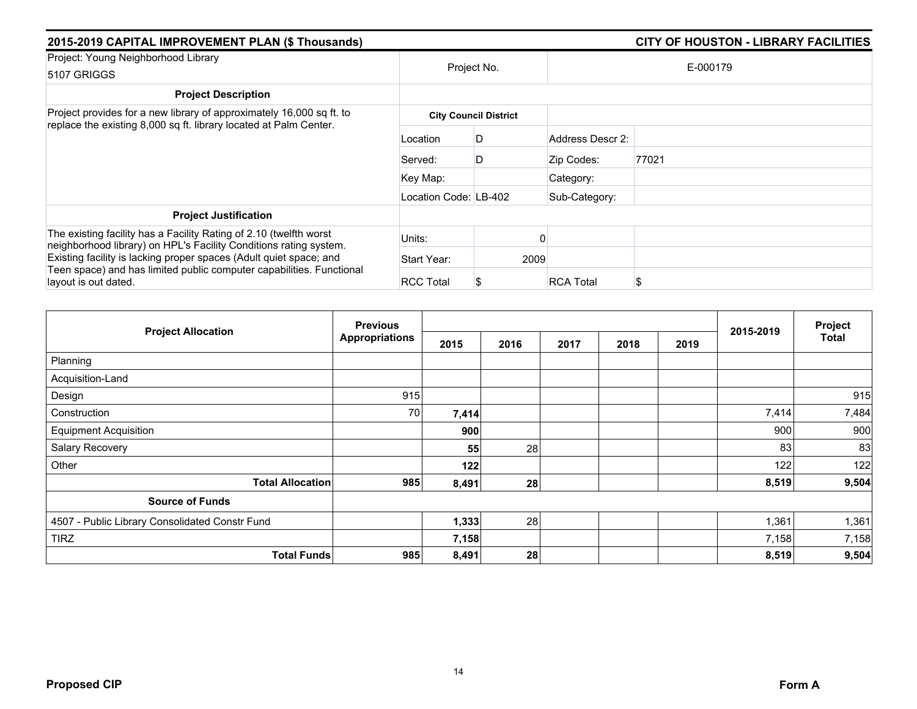| 2015-2019 CAPITAL IMPROVEMENT PLAN (\$ Thousands)                                                                                         | CITY OF HOUSTON - LIBRARY FACILITIES |                              |                  |          |  |  |  |
|-------------------------------------------------------------------------------------------------------------------------------------------|--------------------------------------|------------------------------|------------------|----------|--|--|--|
| Project: Young Neighborhood Library<br>5107 GRIGGS                                                                                        | Project No.                          |                              |                  | E-000179 |  |  |  |
| <b>Project Description</b>                                                                                                                |                                      |                              |                  |          |  |  |  |
| Project provides for a new library of approximately 16,000 sq ft. to<br>replace the existing 8,000 sq ft. library located at Palm Center. |                                      | <b>City Council District</b> |                  |          |  |  |  |
|                                                                                                                                           | Location                             | D                            | Address Descr 2: |          |  |  |  |
|                                                                                                                                           | Served:                              | D                            | Zip Codes:       | 77021    |  |  |  |
|                                                                                                                                           | Key Map:                             |                              | Category:        |          |  |  |  |
|                                                                                                                                           | Location Code: LB-402                |                              | Sub-Category:    |          |  |  |  |
| <b>Project Justification</b>                                                                                                              |                                      |                              |                  |          |  |  |  |
| The existing facility has a Facility Rating of 2.10 (twelfth worst<br>neighborhood library) on HPL's Facility Conditions rating system.   | Units:                               |                              |                  |          |  |  |  |
| Existing facility is lacking proper spaces (Adult quiet space; and                                                                        | Start Year:                          | 2009                         |                  |          |  |  |  |
| Teen space) and has limited public computer capabilities. Functional<br>layout is out dated.                                              | <b>RCC Total</b>                     | S                            | <b>RCA Total</b> |          |  |  |  |

|                                                | <b>Previous</b>       |       |      |      |      |      | 2015-2019 | Project |
|------------------------------------------------|-----------------------|-------|------|------|------|------|-----------|---------|
| <b>Project Allocation</b>                      | <b>Appropriations</b> | 2015  | 2016 | 2017 | 2018 | 2019 |           | Total   |
| Planning                                       |                       |       |      |      |      |      |           |         |
| Acquisition-Land                               |                       |       |      |      |      |      |           |         |
| Design                                         | 915                   |       |      |      |      |      |           | 915     |
| Construction                                   | 70                    | 7,414 |      |      |      |      | 7,414     | 7,484   |
| <b>Equipment Acquisition</b>                   |                       | 900   |      |      |      |      | 900       | 900     |
| Salary Recovery                                |                       | 55    | 28   |      |      |      | 83        | 83      |
| Other                                          |                       | 122   |      |      |      |      | 122       | 122     |
| <b>Total Allocation</b>                        | 985                   | 8,491 | 28   |      |      |      | 8,519     | 9,504   |
| <b>Source of Funds</b>                         |                       |       |      |      |      |      |           |         |
| 4507 - Public Library Consolidated Constr Fund |                       | 1,333 | 28   |      |      |      | 1,361     | 1,361   |
| <b>TIRZ</b>                                    |                       | 7,158 |      |      |      |      | 7,158     | 7,158   |
| <b>Total Funds</b>                             | 985                   | 8,491 | 28   |      |      |      | 8,519     | 9,504   |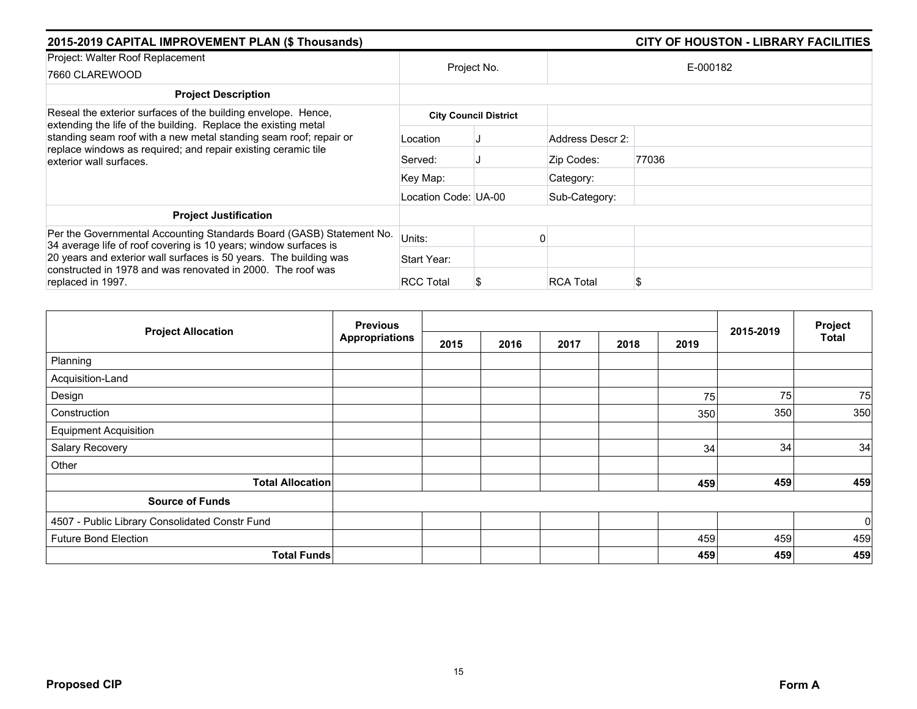| 2015-2019 CAPITAL IMPROVEMENT PLAN (\$ Thousands)                                                                                                                                                                               | <b>CITY OF HOUSTON - LIBRARY FACILITIES</b> |                              |                  |          |  |  |  |
|---------------------------------------------------------------------------------------------------------------------------------------------------------------------------------------------------------------------------------|---------------------------------------------|------------------------------|------------------|----------|--|--|--|
| Project: Walter Roof Replacement<br>7660 CLAREWOOD                                                                                                                                                                              | Project No.                                 |                              |                  | E-000182 |  |  |  |
| <b>Project Description</b>                                                                                                                                                                                                      |                                             |                              |                  |          |  |  |  |
| Reseal the exterior surfaces of the building envelope. Hence,                                                                                                                                                                   |                                             | <b>City Council District</b> |                  |          |  |  |  |
| extending the life of the building. Replace the existing metal<br>standing seam roof with a new metal standing seam roof; repair or<br>replace windows as required; and repair existing ceramic tile<br>exterior wall surfaces. | Location                                    |                              | Address Descr 2: |          |  |  |  |
|                                                                                                                                                                                                                                 | Served:                                     |                              | Zip Codes:       | 77036    |  |  |  |
|                                                                                                                                                                                                                                 | Key Map:                                    |                              | Category:        |          |  |  |  |
|                                                                                                                                                                                                                                 | Location Code: UA-00                        |                              | Sub-Category:    |          |  |  |  |
| <b>Project Justification</b>                                                                                                                                                                                                    |                                             |                              |                  |          |  |  |  |
| Per the Governmental Accounting Standards Board (GASB) Statement No.<br>34 average life of roof covering is 10 years; window surfaces is                                                                                        | Units:                                      |                              |                  |          |  |  |  |
| 20 years and exterior wall surfaces is 50 years. The building was                                                                                                                                                               | Start Year:                                 |                              |                  |          |  |  |  |
| constructed in 1978 and was renovated in 2000. The roof was<br>replaced in 1997.                                                                                                                                                | <b>RCC Total</b>                            |                              | <b>RCA Total</b> |          |  |  |  |

| <b>Project Allocation</b>                      | <b>Previous</b>       |      |      |      | 2015-2019 | Project |     |              |
|------------------------------------------------|-----------------------|------|------|------|-----------|---------|-----|--------------|
|                                                | <b>Appropriations</b> | 2015 | 2016 | 2017 | 2018      | 2019    |     | <b>Total</b> |
| Planning                                       |                       |      |      |      |           |         |     |              |
| Acquisition-Land                               |                       |      |      |      |           |         |     |              |
| Design                                         |                       |      |      |      |           | 75      | 75  | 75           |
| Construction                                   |                       |      |      |      |           | 350     | 350 | 350          |
| <b>Equipment Acquisition</b>                   |                       |      |      |      |           |         |     |              |
| Salary Recovery                                |                       |      |      |      |           | 34      | 34  | 34           |
| Other                                          |                       |      |      |      |           |         |     |              |
| <b>Total Allocation</b>                        |                       |      |      |      |           | 459     | 459 | 459          |
| <b>Source of Funds</b>                         |                       |      |      |      |           |         |     |              |
| 4507 - Public Library Consolidated Constr Fund |                       |      |      |      |           |         |     | $\mathbf 0$  |
| <b>Future Bond Election</b>                    |                       |      |      |      |           | 459     | 459 | 459          |
| <b>Total Funds</b>                             |                       |      |      |      |           | 459     | 459 | 459          |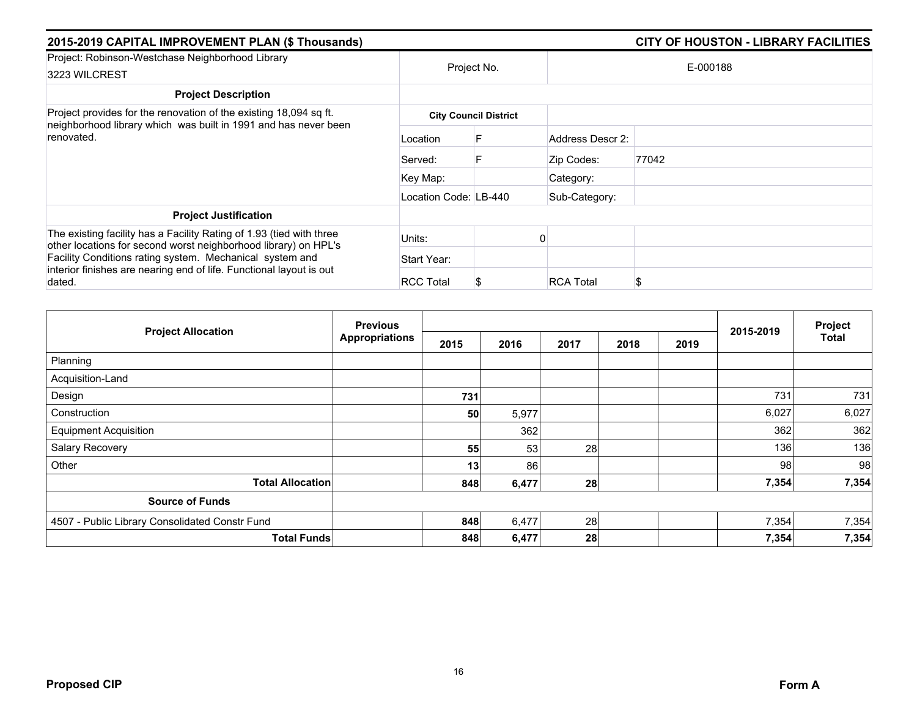| 2015-2019 CAPITAL IMPROVEMENT PLAN (\$ Thousands)                                                                                                  | <b>CITY OF HOUSTON - LIBRARY FACILITIES</b> |                              |                  |          |
|----------------------------------------------------------------------------------------------------------------------------------------------------|---------------------------------------------|------------------------------|------------------|----------|
| Project: Robinson-Westchase Neighborhood Library<br>3223 WILCREST                                                                                  | Project No.                                 |                              |                  | E-000188 |
| <b>Project Description</b>                                                                                                                         |                                             |                              |                  |          |
| Project provides for the renovation of the existing 18,094 sq ft.<br>neighborhood library which was built in 1991 and has never been<br>renovated. |                                             | <b>City Council District</b> |                  |          |
|                                                                                                                                                    | Location                                    |                              | Address Descr 2: |          |
|                                                                                                                                                    | Served:                                     |                              | Zip Codes:       | 77042    |
|                                                                                                                                                    | Key Map:                                    |                              | Category:        |          |
|                                                                                                                                                    | Location Code: LB-440                       |                              | Sub-Category:    |          |
| <b>Project Justification</b>                                                                                                                       |                                             |                              |                  |          |
| The existing facility has a Facility Rating of 1.93 (tied with three<br>other locations for second worst neighborhood library) on HPL's            | Units:                                      |                              |                  |          |
| Facility Conditions rating system. Mechanical system and<br>interior finishes are nearing end of life. Functional layout is out<br>dated.          | Start Year:                                 |                              |                  |          |
|                                                                                                                                                    | <b>RCC Total</b>                            |                              | <b>RCA Total</b> | S        |

| <b>Project Allocation</b>                      | <b>Previous</b>       |      |       |      |      |      | 2015-2019 | Project      |
|------------------------------------------------|-----------------------|------|-------|------|------|------|-----------|--------------|
|                                                | <b>Appropriations</b> | 2015 | 2016  | 2017 | 2018 | 2019 |           | <b>Total</b> |
| Planning                                       |                       |      |       |      |      |      |           |              |
| Acquisition-Land                               |                       |      |       |      |      |      |           |              |
| Design                                         |                       | 731  |       |      |      |      | 731       | 731          |
| Construction                                   |                       | 50   | 5,977 |      |      |      | 6,027     | 6,027        |
| <b>Equipment Acquisition</b>                   |                       |      | 362   |      |      |      | 362       | 362          |
| Salary Recovery                                |                       | 55   | 53    | 28   |      |      | 136       | 136          |
| Other                                          |                       | 13   | 86    |      |      |      | 98        | 98           |
| <b>Total Allocation</b>                        |                       | 848  | 6,477 | 28   |      |      | 7,354     | 7,354        |
| <b>Source of Funds</b>                         |                       |      |       |      |      |      |           |              |
| 4507 - Public Library Consolidated Constr Fund |                       | 848  | 6,477 | 28   |      |      | 7,354     | 7,354        |
| <b>Total Funds</b>                             |                       | 848  | 6,477 | 28   |      |      | 7,354     | 7,354        |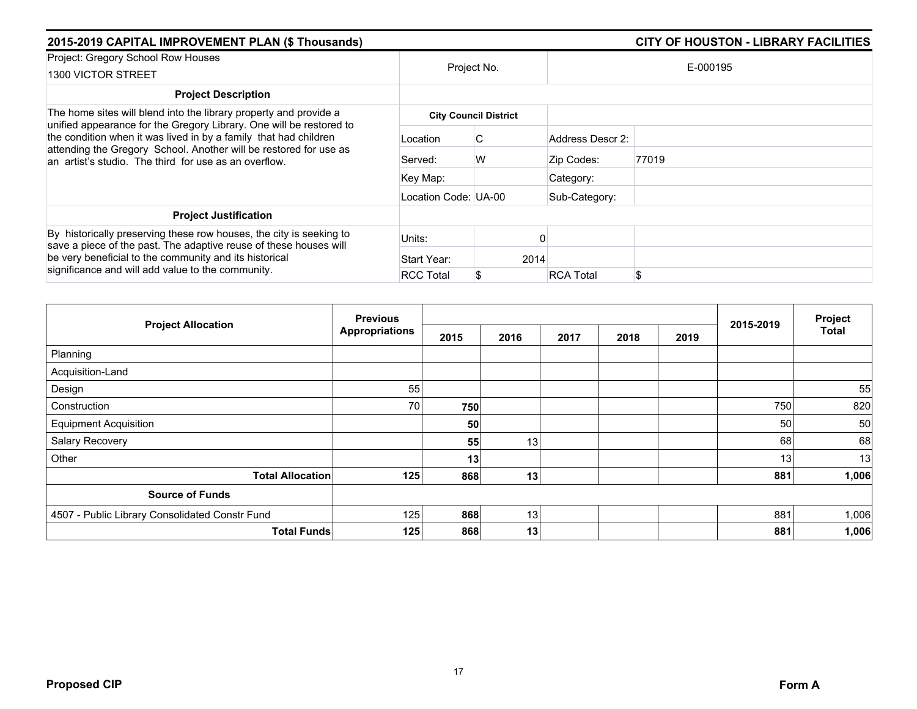| 2015-2019 CAPITAL IMPROVEMENT PLAN (\$ Thousands)                                                                                                                                                                                                                     |                      |                              |                  | <b>CITY OF HOUSTON - LIBRARY FACILITIES</b> |  |  |
|-----------------------------------------------------------------------------------------------------------------------------------------------------------------------------------------------------------------------------------------------------------------------|----------------------|------------------------------|------------------|---------------------------------------------|--|--|
| Project: Gregory School Row Houses<br>1300 VICTOR STREET                                                                                                                                                                                                              | Project No.          |                              | E-000195         |                                             |  |  |
| <b>Project Description</b>                                                                                                                                                                                                                                            |                      |                              |                  |                                             |  |  |
| The home sites will blend into the library property and provide a                                                                                                                                                                                                     |                      | <b>City Council District</b> |                  |                                             |  |  |
| unified appearance for the Gregory Library. One will be restored to<br>the condition when it was lived in by a family that had children<br>attending the Gregory School. Another will be restored for use as<br>an artist's studio. The third for use as an overflow. | Location             | C                            | Address Descr 2: |                                             |  |  |
|                                                                                                                                                                                                                                                                       | Served:              | W                            | Zip Codes:       | 77019                                       |  |  |
|                                                                                                                                                                                                                                                                       | Key Map:             |                              | Category:        |                                             |  |  |
|                                                                                                                                                                                                                                                                       | Location Code: UA-00 |                              | Sub-Category:    |                                             |  |  |
| <b>Project Justification</b>                                                                                                                                                                                                                                          |                      |                              |                  |                                             |  |  |
| By historically preserving these row houses, the city is seeking to<br>save a piece of the past. The adaptive reuse of these houses will<br>be very beneficial to the community and its historical                                                                    | Units:               |                              |                  |                                             |  |  |
|                                                                                                                                                                                                                                                                       | Start Year:          | 2014                         |                  |                                             |  |  |
| significance and will add value to the community.                                                                                                                                                                                                                     | <b>RCC Total</b>     | S                            | <b>RCA Total</b> | \$                                          |  |  |

| <b>Project Allocation</b>                      | <b>Previous</b>       |                 |                 |      |      | Project |           |              |
|------------------------------------------------|-----------------------|-----------------|-----------------|------|------|---------|-----------|--------------|
|                                                | <b>Appropriations</b> | 2015            | 2016            | 2017 | 2018 | 2019    | 2015-2019 | <b>Total</b> |
| Planning                                       |                       |                 |                 |      |      |         |           |              |
| Acquisition-Land                               |                       |                 |                 |      |      |         |           |              |
| Design                                         | 55                    |                 |                 |      |      |         |           | 55           |
| Construction                                   | 70                    | 750             |                 |      |      |         | 750       | 820          |
| <b>Equipment Acquisition</b>                   |                       | 50              |                 |      |      |         | 50        | 50           |
| Salary Recovery                                |                       | 55              | 13              |      |      |         | 68        | 68           |
| Other                                          |                       | 13 <sub>1</sub> |                 |      |      |         | 13        | 13           |
| <b>Total Allocation</b>                        | 125                   | 868             | 13              |      |      |         | 881       | 1,006        |
| <b>Source of Funds</b>                         |                       |                 |                 |      |      |         |           |              |
| 4507 - Public Library Consolidated Constr Fund | 125                   | 868             | 13              |      |      |         | 881       | 1,006        |
| <b>Total Funds</b>                             | 125                   | 868             | 13 <sup>1</sup> |      |      |         | 881       | 1,006        |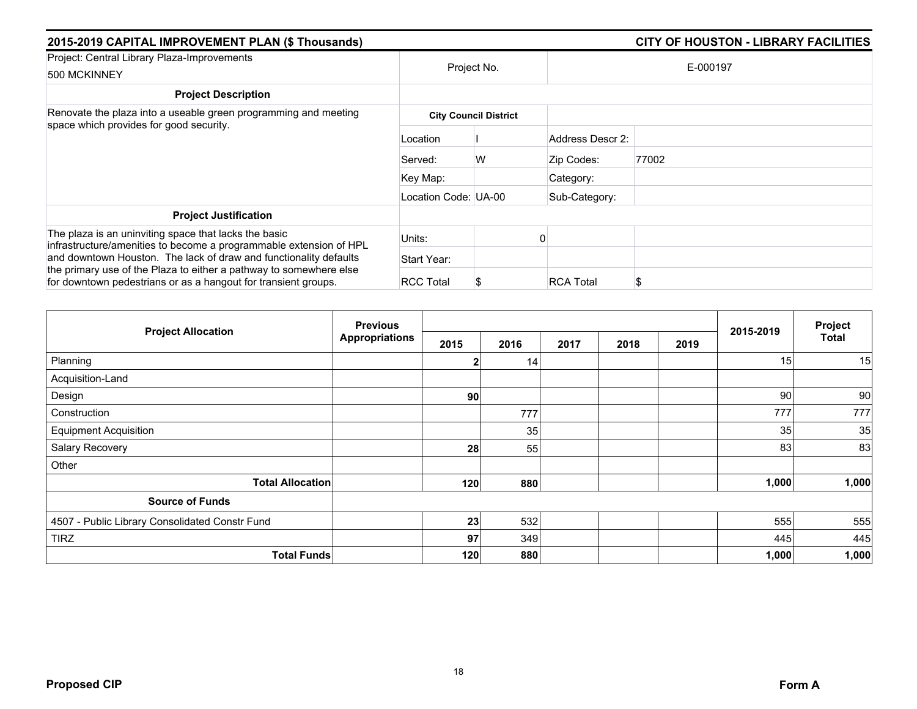| 2015-2019 CAPITAL IMPROVEMENT PLAN (\$ Thousands)                                                                                                                                                         |                      |                              |                  | <b>CITY OF HOUSTON - LIBRARY FACILITIES</b> |
|-----------------------------------------------------------------------------------------------------------------------------------------------------------------------------------------------------------|----------------------|------------------------------|------------------|---------------------------------------------|
| Project: Central Library Plaza-Improvements<br>500 MCKINNEY                                                                                                                                               | Project No.          |                              |                  | E-000197                                    |
| <b>Project Description</b>                                                                                                                                                                                |                      |                              |                  |                                             |
| Renovate the plaza into a useable green programming and meeting<br>space which provides for good security.                                                                                                |                      | <b>City Council District</b> |                  |                                             |
|                                                                                                                                                                                                           | Location             |                              | Address Descr 2: |                                             |
|                                                                                                                                                                                                           | Served:              | W                            | Zip Codes:       | 77002                                       |
|                                                                                                                                                                                                           | Key Map:             |                              | Category:        |                                             |
|                                                                                                                                                                                                           | Location Code: UA-00 |                              | Sub-Category:    |                                             |
| <b>Project Justification</b>                                                                                                                                                                              |                      |                              |                  |                                             |
| The plaza is an uninviting space that lacks the basic<br>infrastructure/amenities to become a programmable extension of HPL                                                                               | Units:               |                              |                  |                                             |
| and downtown Houston. The lack of draw and functionality defaults<br>the primary use of the Plaza to either a pathway to somewhere else<br>for downtown pedestrians or as a hangout for transient groups. | Start Year:          |                              |                  |                                             |
|                                                                                                                                                                                                           | <b>RCC Total</b>     |                              | <b>RCA Total</b> | S                                           |

| <b>Project Allocation</b>                      | <b>Previous</b><br><b>Appropriations</b> |      |      |      | 2015-2019 | Project |       |              |
|------------------------------------------------|------------------------------------------|------|------|------|-----------|---------|-------|--------------|
|                                                |                                          | 2015 | 2016 | 2017 | 2018      | 2019    |       | <b>Total</b> |
| Planning                                       |                                          | 2    | 14   |      |           |         | 15    | 15           |
| Acquisition-Land                               |                                          |      |      |      |           |         |       |              |
| Design                                         |                                          | 90   |      |      |           |         | 90    | 90           |
| Construction                                   |                                          |      | 777  |      |           |         | 777   | 777          |
| <b>Equipment Acquisition</b>                   |                                          |      | 35   |      |           |         | 35    | 35           |
| Salary Recovery                                |                                          | 28   | 55   |      |           |         | 83    | 83           |
| Other                                          |                                          |      |      |      |           |         |       |              |
| <b>Total Allocation</b>                        |                                          | 120  | 880  |      |           |         | 1,000 | 1,000        |
| <b>Source of Funds</b>                         |                                          |      |      |      |           |         |       |              |
| 4507 - Public Library Consolidated Constr Fund |                                          | 23   | 532  |      |           |         | 555   | 555          |
| <b>TIRZ</b>                                    |                                          | 97   | 349  |      |           |         | 445   | 445          |
| <b>Total Funds</b>                             |                                          | 120  | 880  |      |           |         | 1,000 | 1,000        |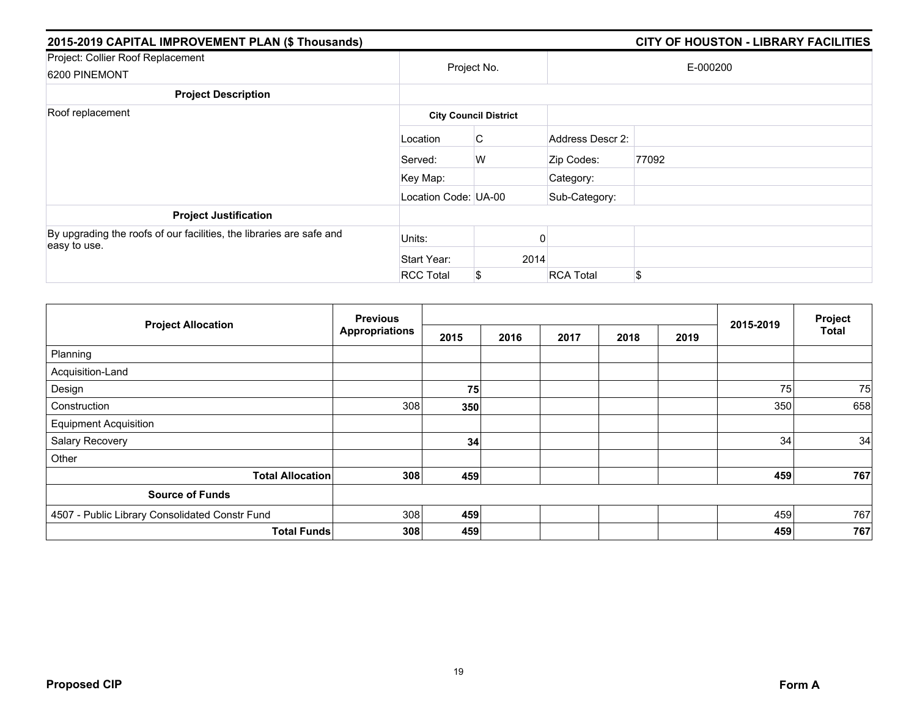| 2015-2019 CAPITAL IMPROVEMENT PLAN (\$ Thousands)                                    |                      |                              |                  | <b>CITY OF HOUSTON - LIBRARY FACILITIES</b> |
|--------------------------------------------------------------------------------------|----------------------|------------------------------|------------------|---------------------------------------------|
| Project: Collier Roof Replacement<br>6200 PINEMONT                                   |                      | Project No.                  |                  | E-000200                                    |
| <b>Project Description</b>                                                           |                      |                              |                  |                                             |
| Roof replacement                                                                     |                      | <b>City Council District</b> |                  |                                             |
|                                                                                      | Location             | C                            | Address Descr 2: |                                             |
|                                                                                      | Served:              | W                            | Zip Codes:       | 77092                                       |
|                                                                                      | Key Map:             |                              | Category:        |                                             |
|                                                                                      | Location Code: UA-00 |                              | Sub-Category:    |                                             |
| <b>Project Justification</b>                                                         |                      |                              |                  |                                             |
| By upgrading the roofs of our facilities, the libraries are safe and<br>easy to use. | Units:               |                              |                  |                                             |
|                                                                                      | Start Year:          | 2014                         |                  |                                             |
|                                                                                      | <b>RCC Total</b>     | \$                           | <b>RCA Total</b> | \$                                          |

| <b>Project Allocation</b>                      | <b>Previous</b><br><b>Appropriations</b> |      |      |      |      |      | Project   |              |
|------------------------------------------------|------------------------------------------|------|------|------|------|------|-----------|--------------|
|                                                |                                          | 2015 | 2016 | 2017 | 2018 | 2019 | 2015-2019 | <b>Total</b> |
| Planning                                       |                                          |      |      |      |      |      |           |              |
| Acquisition-Land                               |                                          |      |      |      |      |      |           |              |
| Design                                         |                                          | 75   |      |      |      |      | 75        | 75           |
| Construction                                   | 308                                      | 350  |      |      |      |      | 350       | 658          |
| <b>Equipment Acquisition</b>                   |                                          |      |      |      |      |      |           |              |
| Salary Recovery                                |                                          | 34   |      |      |      |      | 34        | 34           |
| Other                                          |                                          |      |      |      |      |      |           |              |
| <b>Total Allocation</b>                        | 308                                      | 459  |      |      |      |      | 459       | 767          |
| <b>Source of Funds</b>                         |                                          |      |      |      |      |      |           |              |
| 4507 - Public Library Consolidated Constr Fund | 308                                      | 459  |      |      |      |      | 459       | 767          |
| <b>Total Funds</b>                             | 308                                      | 459  |      |      |      |      | 459       | 767          |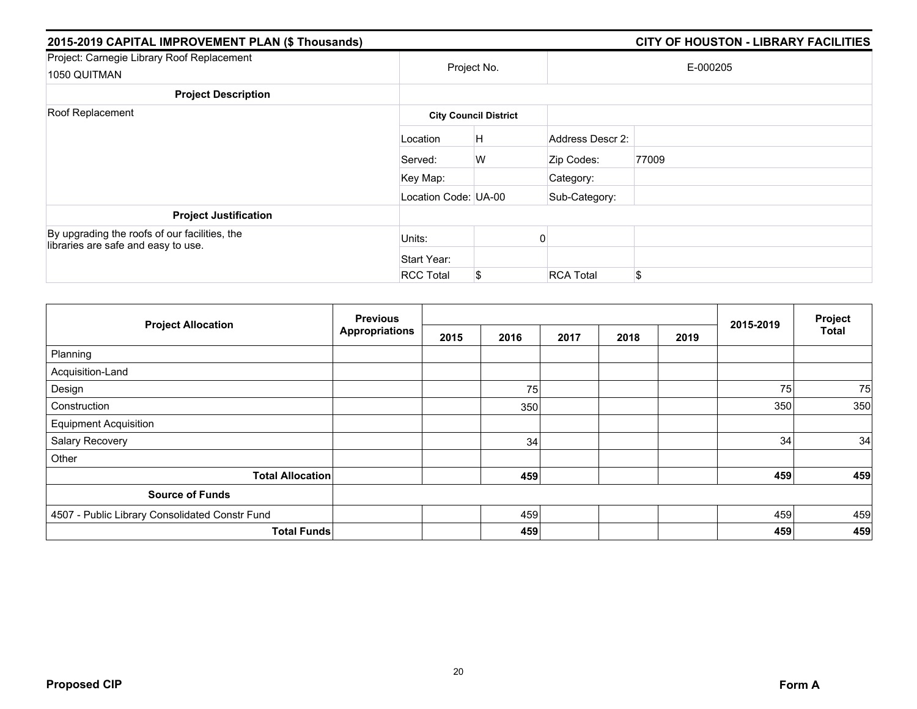| 2015-2019 CAPITAL IMPROVEMENT PLAN (\$ Thousands)                                    |                      |                              |                  | <b>CITY OF HOUSTON - LIBRARY FACILITIES</b> |
|--------------------------------------------------------------------------------------|----------------------|------------------------------|------------------|---------------------------------------------|
| Project: Carnegie Library Roof Replacement<br>1050 QUITMAN                           | Project No.          |                              |                  | E-000205                                    |
| <b>Project Description</b>                                                           |                      |                              |                  |                                             |
| Roof Replacement                                                                     |                      | <b>City Council District</b> |                  |                                             |
|                                                                                      | Location             | H                            | Address Descr 2: |                                             |
|                                                                                      | Served:              | W                            | Zip Codes:       | 77009                                       |
|                                                                                      | Key Map:             |                              | Category:        |                                             |
|                                                                                      | Location Code: UA-00 |                              | Sub-Category:    |                                             |
| <b>Project Justification</b>                                                         |                      |                              |                  |                                             |
| By upgrading the roofs of our facilities, the<br>libraries are safe and easy to use. | Units:               |                              |                  |                                             |
|                                                                                      | Start Year:          |                              |                  |                                             |
|                                                                                      | <b>RCC Total</b>     | \$                           | <b>RCA Total</b> | \$                                          |

| <b>Project Allocation</b>                      | <b>Previous</b><br><b>Appropriations</b> |      |      |      | Project |      |           |              |
|------------------------------------------------|------------------------------------------|------|------|------|---------|------|-----------|--------------|
|                                                |                                          | 2015 | 2016 | 2017 | 2018    | 2019 | 2015-2019 | <b>Total</b> |
| Planning                                       |                                          |      |      |      |         |      |           |              |
| Acquisition-Land                               |                                          |      |      |      |         |      |           |              |
| Design                                         |                                          |      | 75   |      |         |      | 75        | 75           |
| Construction                                   |                                          |      | 350  |      |         |      | 350       | 350          |
| <b>Equipment Acquisition</b>                   |                                          |      |      |      |         |      |           |              |
| Salary Recovery                                |                                          |      | 34   |      |         |      | 34        | 34           |
| Other                                          |                                          |      |      |      |         |      |           |              |
| <b>Total Allocation</b>                        |                                          |      | 459  |      |         |      | 459       | 459          |
| <b>Source of Funds</b>                         |                                          |      |      |      |         |      |           |              |
| 4507 - Public Library Consolidated Constr Fund |                                          |      | 459  |      |         |      | 459       | 459          |
| <b>Total Funds</b>                             |                                          |      | 459  |      |         |      | 459       | 459          |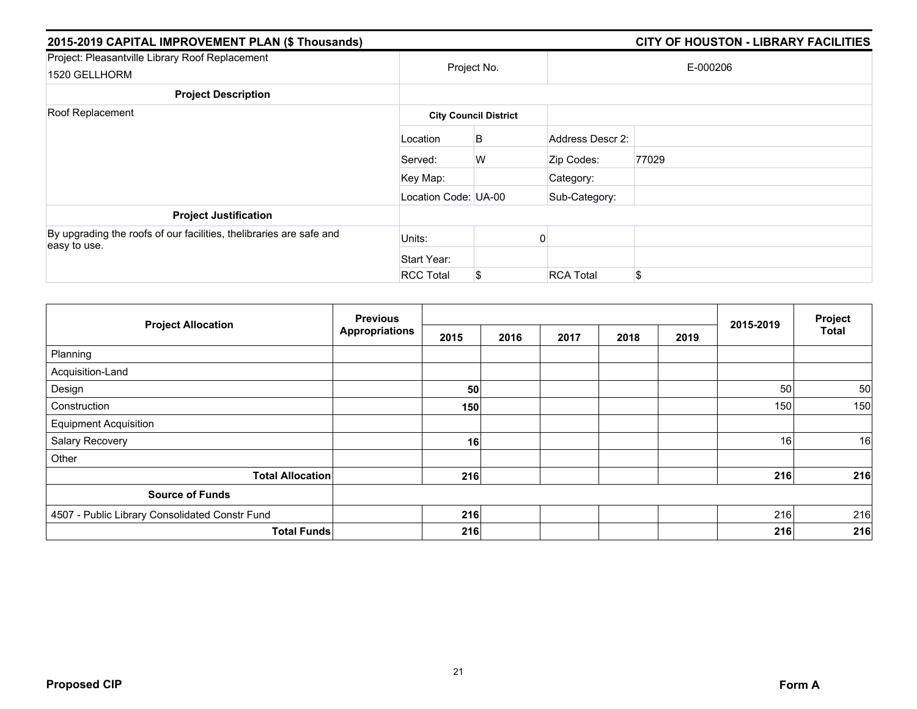| 2015-2019 CAPITAL IMPROVEMENT PLAN (\$ Thousands)                                   |                      |                              |                  | <b>CITY OF HOUSTON - LIBRARY FACILITIES</b> |
|-------------------------------------------------------------------------------------|----------------------|------------------------------|------------------|---------------------------------------------|
| Project: Pleasantville Library Roof Replacement<br>1520 GELLHORM                    | Project No.          |                              |                  | E-000206                                    |
| <b>Project Description</b>                                                          |                      |                              |                  |                                             |
| Roof Replacement                                                                    |                      | <b>City Council District</b> |                  |                                             |
|                                                                                     | Location             | B                            | Address Descr 2: |                                             |
|                                                                                     | Served:              | W                            | Zip Codes:       | 77029                                       |
|                                                                                     | Key Map:             |                              | Category:        |                                             |
|                                                                                     | Location Code: UA-00 |                              | Sub-Category:    |                                             |
| <b>Project Justification</b>                                                        |                      |                              |                  |                                             |
| By upgrading the roofs of our facilities, thelibraries are safe and<br>easy to use. | Units:               |                              |                  |                                             |
|                                                                                     | Start Year:          |                              |                  |                                             |
|                                                                                     | <b>RCC Total</b>     | \$                           | <b>RCA Total</b> | \$                                          |

| <b>Project Allocation</b>                      | <b>Previous</b><br><b>Appropriations</b> |      |      |      |      | Project |           |              |
|------------------------------------------------|------------------------------------------|------|------|------|------|---------|-----------|--------------|
|                                                |                                          | 2015 | 2016 | 2017 | 2018 | 2019    | 2015-2019 | <b>Total</b> |
| Planning                                       |                                          |      |      |      |      |         |           |              |
| Acquisition-Land                               |                                          |      |      |      |      |         |           |              |
| Design                                         |                                          | 50   |      |      |      |         | 50        | 50           |
| Construction                                   |                                          | 150  |      |      |      |         | 150       | 150          |
| <b>Equipment Acquisition</b>                   |                                          |      |      |      |      |         |           |              |
| Salary Recovery                                |                                          | 16   |      |      |      |         | 16        | 16           |
| Other                                          |                                          |      |      |      |      |         |           |              |
| <b>Total Allocation</b>                        |                                          | 216  |      |      |      |         | 216       | 216          |
| <b>Source of Funds</b>                         |                                          |      |      |      |      |         |           |              |
| 4507 - Public Library Consolidated Constr Fund |                                          | 216  |      |      |      |         | 216       | 216          |
| <b>Total Funds</b>                             |                                          | 216  |      |      |      |         | 216       | 216          |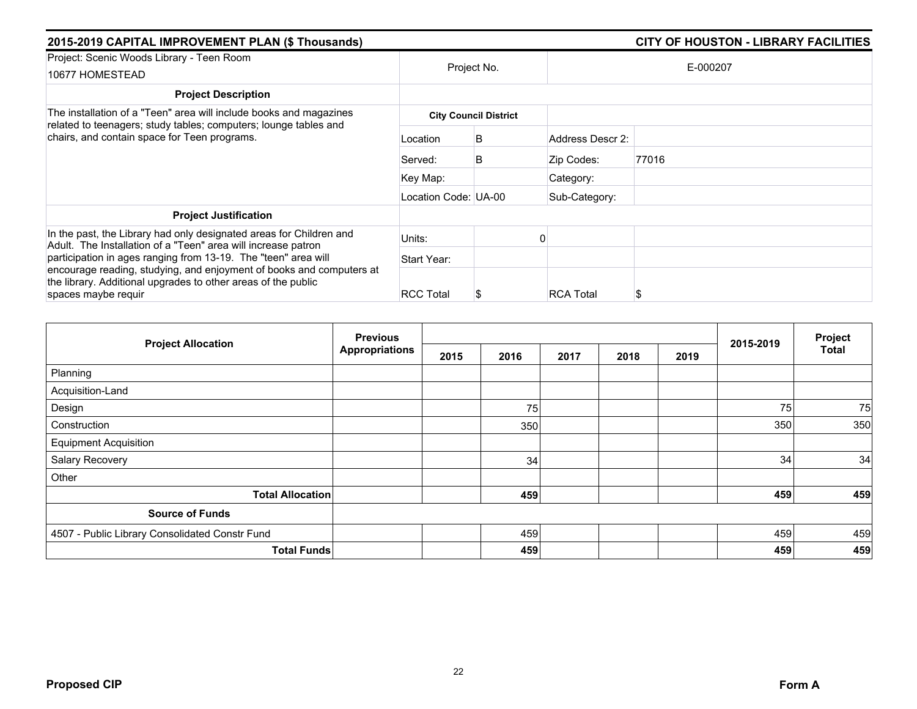| 2015-2019 CAPITAL IMPROVEMENT PLAN (\$ Thousands)                                                                                                                                                                              |                      |                              |                  | <b>CITY OF HOUSTON - LIBRARY FACILITIES</b> |
|--------------------------------------------------------------------------------------------------------------------------------------------------------------------------------------------------------------------------------|----------------------|------------------------------|------------------|---------------------------------------------|
| Project: Scenic Woods Library - Teen Room<br>10677 HOMESTEAD                                                                                                                                                                   | Project No.          |                              |                  | E-000207                                    |
| <b>Project Description</b>                                                                                                                                                                                                     |                      |                              |                  |                                             |
| The installation of a "Teen" area will include books and magazines<br>related to teenagers; study tables; computers; lounge tables and                                                                                         |                      | <b>City Council District</b> |                  |                                             |
| chairs, and contain space for Teen programs.                                                                                                                                                                                   | Location             | B                            | Address Descr 2: |                                             |
|                                                                                                                                                                                                                                | Served:              | B                            | Zip Codes:       | 77016                                       |
|                                                                                                                                                                                                                                | Key Map:             |                              | Category:        |                                             |
|                                                                                                                                                                                                                                | Location Code: UA-00 |                              | Sub-Category:    |                                             |
| <b>Project Justification</b>                                                                                                                                                                                                   |                      |                              |                  |                                             |
| In the past, the Library had only designated areas for Children and<br>Adult. The Installation of a "Teen" area will increase patron                                                                                           | Units:               |                              |                  |                                             |
| participation in ages ranging from 13-19. The "teen" area will<br>encourage reading, studying, and enjoyment of books and computers at<br>the library. Additional upgrades to other areas of the public<br>spaces maybe requir | Start Year:          |                              |                  |                                             |
|                                                                                                                                                                                                                                | <b>RCC Total</b>     | \$                           | <b>RCA Total</b> |                                             |

| <b>Project Allocation</b>                      | <b>Previous</b>       |      |      |      |      |      |           | Project      |
|------------------------------------------------|-----------------------|------|------|------|------|------|-----------|--------------|
|                                                | <b>Appropriations</b> | 2015 | 2016 | 2017 | 2018 | 2019 | 2015-2019 | <b>Total</b> |
| Planning                                       |                       |      |      |      |      |      |           |              |
| Acquisition-Land                               |                       |      |      |      |      |      |           |              |
| Design                                         |                       |      | 75   |      |      |      | 75        | 75           |
| Construction                                   |                       |      | 350  |      |      |      | 350       | 350          |
| <b>Equipment Acquisition</b>                   |                       |      |      |      |      |      |           |              |
| Salary Recovery                                |                       |      | 34   |      |      |      | 34        | 34           |
| Other                                          |                       |      |      |      |      |      |           |              |
| <b>Total Allocation</b>                        |                       |      | 459  |      |      |      | 459       | 459          |
| <b>Source of Funds</b>                         |                       |      |      |      |      |      |           |              |
| 4507 - Public Library Consolidated Constr Fund |                       |      | 459  |      |      |      | 459       | 459          |
| <b>Total Funds</b>                             |                       |      | 459  |      |      |      | 459       | 459          |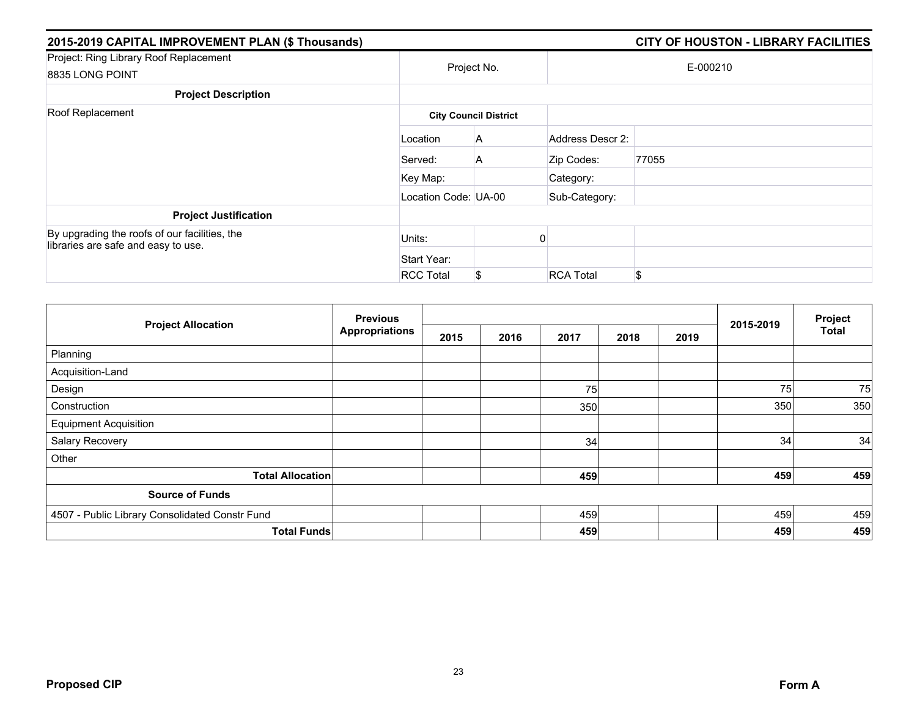| 2015-2019 CAPITAL IMPROVEMENT PLAN (\$ Thousands)                                    |                      |                              |                  | <b>CITY OF HOUSTON - LIBRARY FACILITIES</b> |  |  |
|--------------------------------------------------------------------------------------|----------------------|------------------------------|------------------|---------------------------------------------|--|--|
| Project: Ring Library Roof Replacement<br>8835 LONG POINT                            | Project No.          |                              | E-000210         |                                             |  |  |
| <b>Project Description</b>                                                           |                      |                              |                  |                                             |  |  |
| Roof Replacement                                                                     |                      | <b>City Council District</b> |                  |                                             |  |  |
|                                                                                      | Location             | A                            | Address Descr 2: |                                             |  |  |
|                                                                                      | Served:              | A                            | Zip Codes:       | 77055                                       |  |  |
|                                                                                      | Key Map:             |                              | Category:        |                                             |  |  |
|                                                                                      | Location Code: UA-00 |                              | Sub-Category:    |                                             |  |  |
| <b>Project Justification</b>                                                         |                      |                              |                  |                                             |  |  |
| By upgrading the roofs of our facilities, the<br>libraries are safe and easy to use. | Units:               |                              |                  |                                             |  |  |
|                                                                                      | Start Year:          |                              |                  |                                             |  |  |
|                                                                                      | <b>RCC Total</b>     | \$                           | <b>RCA Total</b> | \$                                          |  |  |

| <b>Project Allocation</b>                      | <b>Previous</b>       |      |      |      |      |      | 2015-2019 | Project      |
|------------------------------------------------|-----------------------|------|------|------|------|------|-----------|--------------|
|                                                | <b>Appropriations</b> | 2015 | 2016 | 2017 | 2018 | 2019 |           | <b>Total</b> |
| Planning                                       |                       |      |      |      |      |      |           |              |
| Acquisition-Land                               |                       |      |      |      |      |      |           |              |
| Design                                         |                       |      |      | 75   |      |      | 75        | 75           |
| Construction                                   |                       |      |      | 350  |      |      | 350       | 350          |
| <b>Equipment Acquisition</b>                   |                       |      |      |      |      |      |           |              |
| Salary Recovery                                |                       |      |      | 34   |      |      | 34        | 34           |
| Other                                          |                       |      |      |      |      |      |           |              |
| <b>Total Allocation</b>                        |                       |      |      | 459  |      |      | 459       | 459          |
| <b>Source of Funds</b>                         |                       |      |      |      |      |      |           |              |
| 4507 - Public Library Consolidated Constr Fund |                       |      |      | 459  |      |      | 459       | 459          |
| <b>Total Funds</b>                             |                       |      |      | 459  |      |      | 459       | 459          |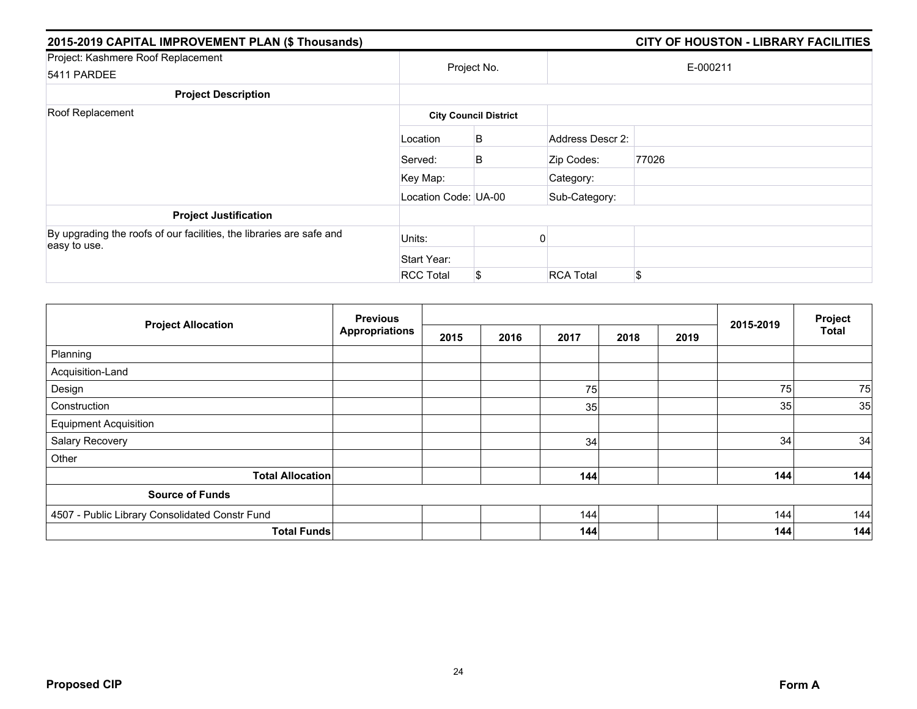| 2015-2019 CAPITAL IMPROVEMENT PLAN (\$ Thousands)                                    |                      |                              |                  | <b>CITY OF HOUSTON - LIBRARY FACILITIES</b> |
|--------------------------------------------------------------------------------------|----------------------|------------------------------|------------------|---------------------------------------------|
| Project: Kashmere Roof Replacement<br>5411 PARDEE                                    |                      | Project No.                  |                  | E-000211                                    |
| <b>Project Description</b>                                                           |                      |                              |                  |                                             |
| Roof Replacement                                                                     |                      | <b>City Council District</b> |                  |                                             |
|                                                                                      | Location             | B                            | Address Descr 2: |                                             |
|                                                                                      | Served:              | B                            | Zip Codes:       | 77026                                       |
|                                                                                      | Key Map:             |                              | Category:        |                                             |
|                                                                                      | Location Code: UA-00 |                              | Sub-Category:    |                                             |
| <b>Project Justification</b>                                                         |                      |                              |                  |                                             |
| By upgrading the roofs of our facilities, the libraries are safe and<br>easy to use. | Units:               |                              |                  |                                             |
|                                                                                      | Start Year:          |                              |                  |                                             |
|                                                                                      | <b>RCC Total</b>     | \$                           | <b>RCA Total</b> | \$                                          |

|                                                | <b>Previous</b>       |      |      |      | Project |      |           |              |
|------------------------------------------------|-----------------------|------|------|------|---------|------|-----------|--------------|
| <b>Project Allocation</b>                      | <b>Appropriations</b> | 2015 | 2016 | 2017 | 2018    | 2019 | 2015-2019 | <b>Total</b> |
| Planning                                       |                       |      |      |      |         |      |           |              |
| Acquisition-Land                               |                       |      |      |      |         |      |           |              |
| Design                                         |                       |      |      | 75   |         |      | 75        | 75           |
| Construction                                   |                       |      |      | 35   |         |      | 35        | 35           |
| <b>Equipment Acquisition</b>                   |                       |      |      |      |         |      |           |              |
| Salary Recovery                                |                       |      |      | 34   |         |      | 34        | 34           |
| Other                                          |                       |      |      |      |         |      |           |              |
| <b>Total Allocation</b>                        |                       |      |      | 144  |         |      | 144       | 144          |
| <b>Source of Funds</b>                         |                       |      |      |      |         |      |           |              |
| 4507 - Public Library Consolidated Constr Fund |                       |      |      | 144  |         |      | 144       | 144          |
|                                                | <b>Total Funds</b>    |      |      | 144  |         |      | 144       | 144          |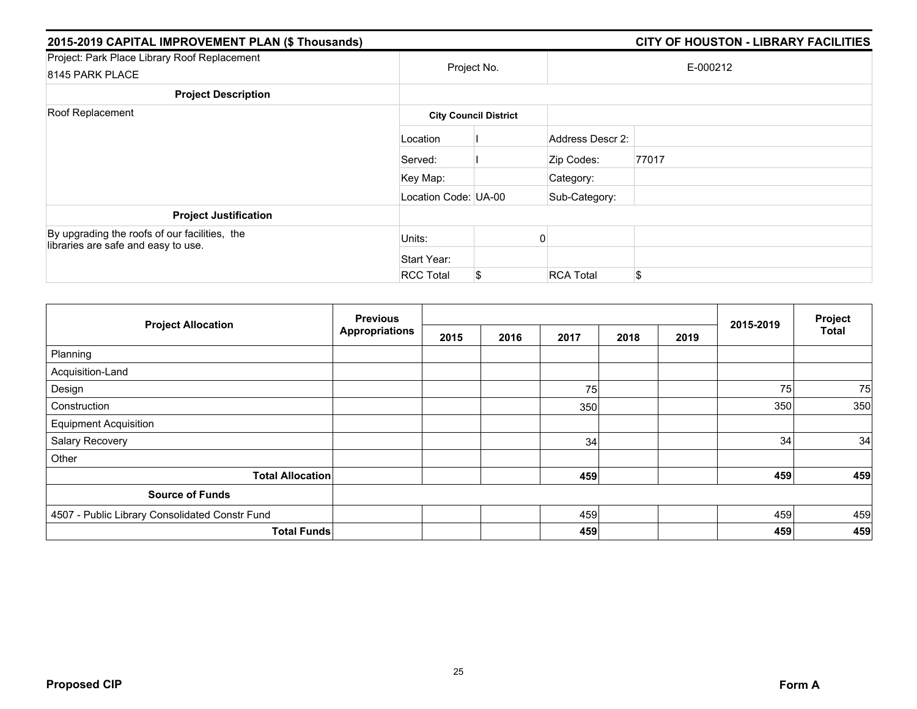| 2015-2019 CAPITAL IMPROVEMENT PLAN (\$ Thousands)                                    |                      |                              |                  | <b>CITY OF HOUSTON - LIBRARY FACILITIES</b> |  |  |
|--------------------------------------------------------------------------------------|----------------------|------------------------------|------------------|---------------------------------------------|--|--|
| Project: Park Place Library Roof Replacement<br>8145 PARK PLACE                      |                      | Project No.                  | E-000212         |                                             |  |  |
| <b>Project Description</b>                                                           |                      |                              |                  |                                             |  |  |
| Roof Replacement                                                                     |                      | <b>City Council District</b> |                  |                                             |  |  |
|                                                                                      | Location             |                              | Address Descr 2: |                                             |  |  |
|                                                                                      | Served:              |                              | Zip Codes:       | 77017                                       |  |  |
|                                                                                      | Key Map:             |                              | Category:        |                                             |  |  |
|                                                                                      | Location Code: UA-00 |                              | Sub-Category:    |                                             |  |  |
| <b>Project Justification</b>                                                         |                      |                              |                  |                                             |  |  |
| By upgrading the roofs of our facilities, the<br>libraries are safe and easy to use. | Units:               |                              |                  |                                             |  |  |
|                                                                                      | Start Year:          |                              |                  |                                             |  |  |
|                                                                                      | <b>RCC Total</b>     | \$                           | <b>RCA Total</b> | \$.                                         |  |  |

| <b>Project Allocation</b>                      | <b>Previous</b><br><b>Appropriations</b> |      |      |      |      |      |           | Project      |
|------------------------------------------------|------------------------------------------|------|------|------|------|------|-----------|--------------|
|                                                |                                          | 2015 | 2016 | 2017 | 2018 | 2019 | 2015-2019 | <b>Total</b> |
| Planning                                       |                                          |      |      |      |      |      |           |              |
| Acquisition-Land                               |                                          |      |      |      |      |      |           |              |
| Design                                         |                                          |      |      | 75   |      |      | 75        | 75           |
| Construction                                   |                                          |      |      | 350  |      |      | 350       | 350          |
| <b>Equipment Acquisition</b>                   |                                          |      |      |      |      |      |           |              |
| Salary Recovery                                |                                          |      |      | 34   |      |      | 34        | 34           |
| Other                                          |                                          |      |      |      |      |      |           |              |
| <b>Total Allocation</b>                        |                                          |      |      | 459  |      |      | 459       | 459          |
| <b>Source of Funds</b>                         |                                          |      |      |      |      |      |           |              |
| 4507 - Public Library Consolidated Constr Fund |                                          |      |      | 459  |      |      | 459       | 459          |
| <b>Total Funds</b>                             |                                          |      |      | 459  |      |      | 459       | 459          |